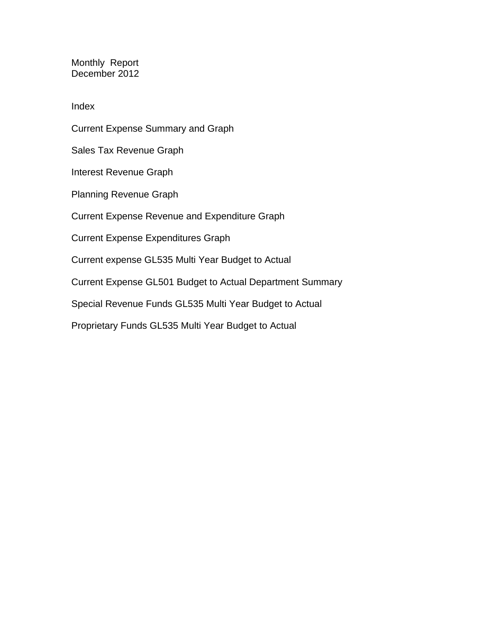Monthly Report December 2012

Index

Current Expense Summary and Graph Sales Tax Revenue Graph Interest Revenue Graph Planning Revenue Graph Current Expense Revenue and Expenditure Graph Current Expense Expenditures Graph Current expense GL535 Multi Year Budget to Actual Current Expense GL501 Budget to Actual Department Summary Special Revenue Funds GL535 Multi Year Budget to Actual Proprietary Funds GL535 Multi Year Budget to Actual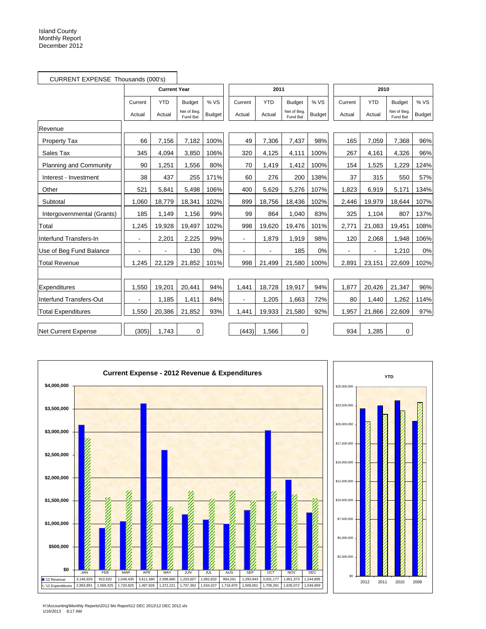| CURRENT EXPENSE Thousands (000's) |         |                     |                         |               |                |            |                         |               |         |            |                         |        |
|-----------------------------------|---------|---------------------|-------------------------|---------------|----------------|------------|-------------------------|---------------|---------|------------|-------------------------|--------|
|                                   |         | <b>Current Year</b> |                         |               |                | 2011       |                         |               |         | 2010       |                         |        |
|                                   | Current | <b>YTD</b>          | <b>Budget</b>           | %VS           | Current        | <b>YTD</b> | <b>Budget</b>           | % VS          | Current | <b>YTD</b> | <b>Budget</b>           | % VS   |
|                                   | Actual  | Actual              | Net of Beg.<br>Fund Bal | <b>Budget</b> | Actual         | Actual     | Net of Beg.<br>Fund Bal | <b>Budget</b> | Actual  | Actual     | Net of Beg.<br>Fund Bal | Budget |
| Revenue                           |         |                     |                         |               |                |            |                         |               |         |            |                         |        |
| <b>Property Tax</b>               | 66      | 7,156               | 7,182                   | 100%          | 49             | 7,306      | 7,437                   | 98%           | 165     | 7,059      | 7,368                   | 96%    |
| Sales Tax                         | 345     | 4,094               | 3,850                   | 106%          | 320            | 4,125      | 4,111                   | 100%          | 267     | 4,161      | 4,326                   | 96%    |
| Planning and Community            | 90      | 1,251               | 1,556                   | 80%           | 70             | 1,419      | 1,412                   | 100%          | 154     | 1,525      | 1,229                   | 124%   |
| Interest - Investment             | 38      | 437                 | 255                     | 171%          | 60             | 276        | 200                     | 138%          | 37      | 315        | 550                     | 57%    |
| Other                             | 521     | 5,841               | 5,498                   | 106%          | 400            | 5,629      | 5,276                   | 107%          | 1,823   | 6,919      | 5,171                   | 134%   |
| Subtotal                          | 1.060   | 18,779              | 18,341                  | 102%          | 899            | 18,756     | 18,436                  | 102%          | 2,446   | 19,979     | 18,644                  | 107%   |
| Intergovernmental (Grants)        | 185     | 1,149               | 1,156                   | 99%           | 99             | 864        | 1,040                   | 83%           | 325     | 1,104      | 807                     | 137%   |
| Total                             | 1,245   | 19,928              | 19,497                  | 102%          | 998            | 19,620     | 19,476                  | 101%          | 2,771   | 21,083     | 19,451                  | 108%   |
| Interfund Transfers-In            |         | 2,201               | 2,225                   | 99%           | $\blacksquare$ | 1,879      | 1,919                   | 98%           | 120     | 2,068      | 1,948                   | 106%   |
| Use of Beg Fund Balance           |         | $\blacksquare$      | 130                     | 0%            |                |            | 185                     | 0%            |         |            | 1,210                   | 0%     |
| <b>Total Revenue</b>              | 1,245   | 22,129              | 21,852                  | 101%          | 998            | 21,499     | 21,580                  | 100%          | 2,891   | 23,151     | 22,609                  | 102%   |
|                                   |         |                     |                         |               |                |            |                         |               |         |            |                         |        |
| Expenditures                      | 1.550   | 19,201              | 20,441                  | 94%           | 1,441          | 18,728     | 19,917                  | 94%           | 1,877   | 20,426     | 21,347                  | 96%    |
| Interfund Transfers-Out           |         | 1,185               | 1,411                   | 84%           |                | 1,205      | 1,663                   | 72%           | 80      | 1,440      | 1,262                   | 114%   |
| <b>Total Expenditures</b>         | 1,550   | 20,386              | 21,852                  | 93%           | 1,441          | 19,933     | 21,580                  | 92%           | 1,957   | 21,866     | 22,609                  | 97%    |
| Net Current Expense               | (305)   | 1,743               | $\mathbf 0$             |               | (443)          | 1,566      | 0                       |               | 934     | 1,285      | $\mathbf 0$             |        |





H:\Accounting\Monthly Reports\2012 Mo Report\12 DEC 2012\12 DEC 2012.xls 1/16/2013 8:17 AM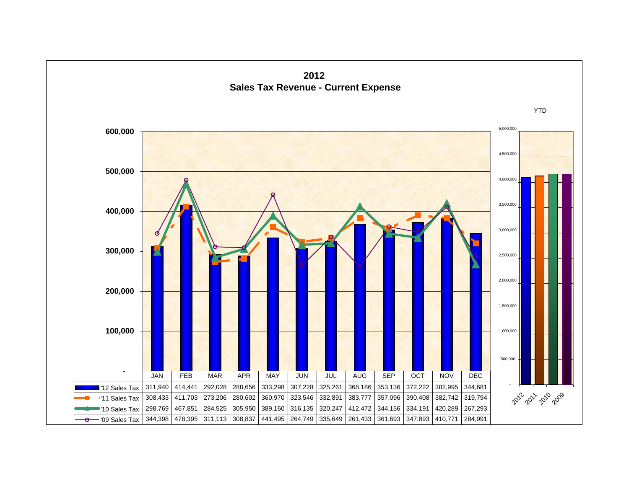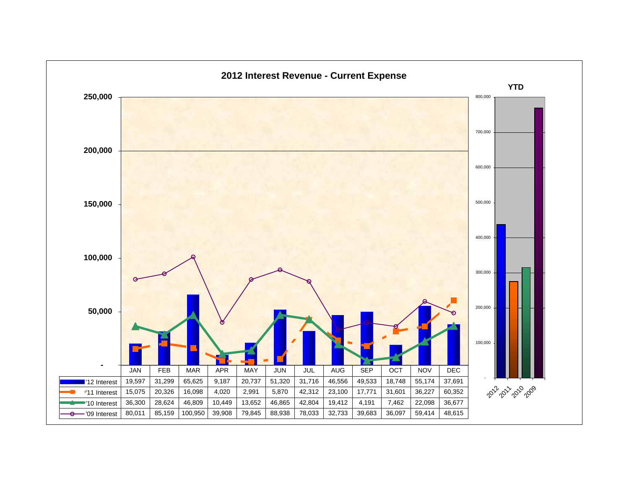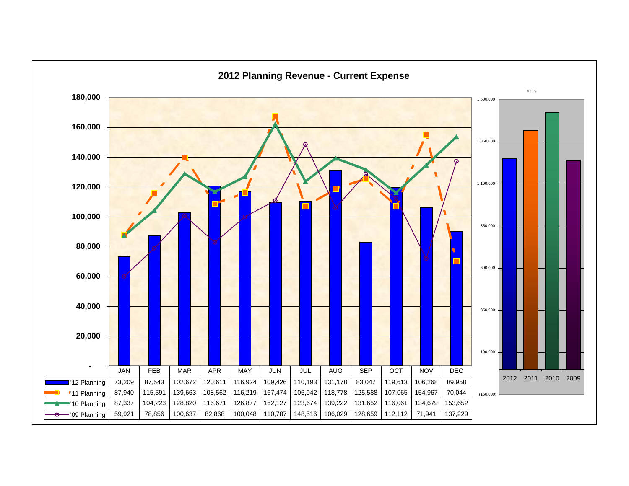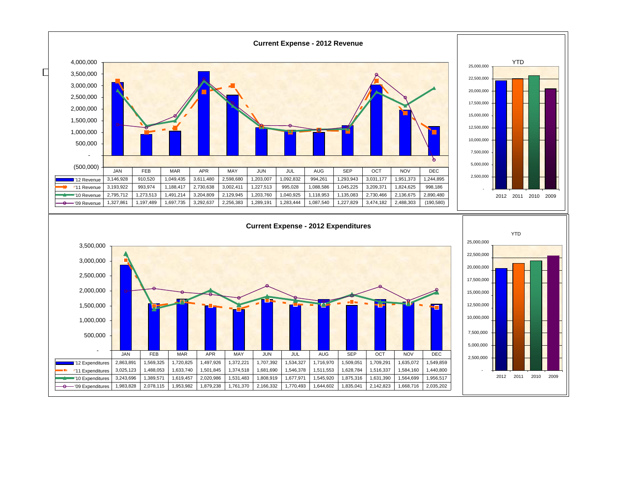![](_page_5_Figure_0.jpeg)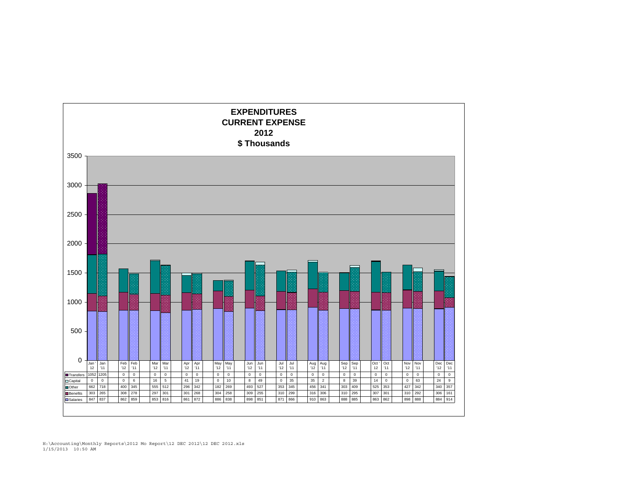![](_page_6_Figure_0.jpeg)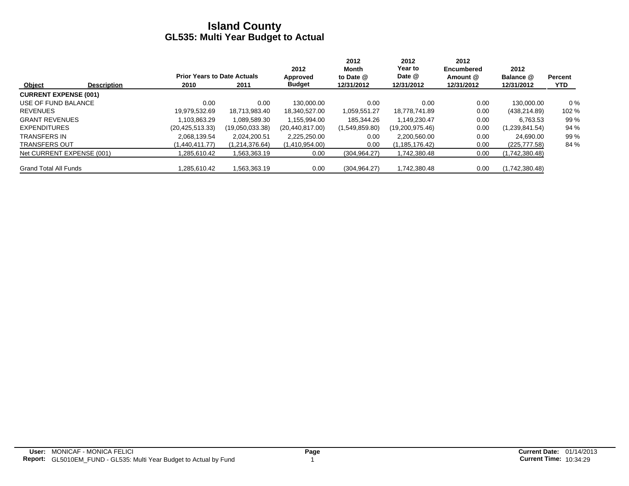|                              |                    |                                    |                 | 2012              | 2012<br>Month  | 2012<br>Year to | 2012<br><b>Encumbered</b> | 2012           |                |
|------------------------------|--------------------|------------------------------------|-----------------|-------------------|----------------|-----------------|---------------------------|----------------|----------------|
|                              |                    | <b>Prior Years to Date Actuals</b> |                 | Approved          | to Date @      | Date @          | Amount @                  | Balance @      | <b>Percent</b> |
| Object                       | <b>Description</b> | 2010                               | 2011            | <b>Budget</b>     | 12/31/2012     | 12/31/2012      | 12/31/2012                | 12/31/2012     | <b>YTD</b>     |
| <b>CURRENT EXPENSE (001)</b> |                    |                                    |                 |                   |                |                 |                           |                |                |
| USE OF FUND BALANCE          |                    | 0.00                               | 0.00            | 130.000.00        | 0.00           | 0.00            | 0.00                      | 130.000.00     | $0\%$          |
| <b>REVENUES</b>              |                    | 19.979.532.69                      | 18.713.983.40   | 18.340.527.00     | 1,059,551.27   | 18.778.741.89   | 0.00                      | (438, 214.89)  | 102 %          |
| <b>GRANT REVENUES</b>        |                    | .103.863.29                        | 1.089.589.30    | 1.155.994.00      | 185.344.26     | 1.149.230.47    | 0.00                      | 6.763.53       | 99 %           |
| <b>EXPENDITURES</b>          |                    | (20, 425, 513, 33)                 | (19,050,033.38) | (20, 440, 817.00) | (1,549,859.80) | (19,200,975.46) | 0.00                      | (1,239,841.54) | 94 %           |
| <b>TRANSFERS IN</b>          |                    | 2.068.139.54                       | 2.024.200.51    | 2,225,250.00      | 0.00           | 2,200,560.00    | 0.00                      | 24.690.00      | 99 %           |
| <b>TRANSFERS OUT</b>         |                    | (1.440.411.77)                     | (1,214,376.64)  | (1,410,954.00)    | 0.00           | (1,185,176.42)  | 0.00                      | (225, 777.58)  | 84 %           |
| Net CURRENT EXPENSE (001)    |                    | .285,610.42                        | 1,563,363.19    | 0.00              | (304, 964.27)  | 1,742,380.48    | 0.00                      | (1,742,380.48) |                |
| <b>Grand Total All Funds</b> |                    | .285.610.42                        | 1,563,363.19    | 0.00              | (304, 964.27)  | 1,742,380.48    | 0.00                      | (1,742,380.48) |                |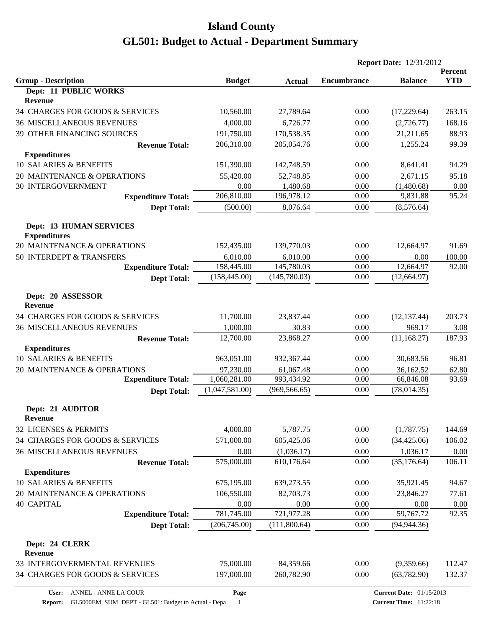|                                                       |                |               | <b>Report Date: 12/31/2012</b> |                |                              |
|-------------------------------------------------------|----------------|---------------|--------------------------------|----------------|------------------------------|
| <b>Group - Description</b>                            | <b>Budget</b>  | <b>Actual</b> | <b>Encumbrance</b>             | <b>Balance</b> | <b>Percent</b><br><b>YTD</b> |
| <b>Dept: 11 PUBLIC WORKS</b><br>Revenue               |                |               |                                |                |                              |
| 34 CHARGES FOR GOODS & SERVICES                       | 10,560.00      | 27,789.64     | 0.00                           | (17,229.64)    | 263.15                       |
| <b>36 MISCELLANEOUS REVENUES</b>                      | 4,000.00       | 6,726.77      | 0.00                           | (2,726.77)     | 168.16                       |
| 39 OTHER FINANCING SOURCES                            | 191,750.00     | 170,538.35    | 0.00                           | 21,211.65      | 88.93                        |
| <b>Revenue Total:</b>                                 | 206,310.00     | 205,054.76    | 0.00                           | 1,255.24       | 99.39                        |
| <b>Expenditures</b>                                   |                |               |                                |                |                              |
| 10 SALARIES & BENEFITS                                | 151,390.00     | 142,748.59    | 0.00                           | 8,641.41       | 94.29                        |
| 20 MAINTENANCE & OPERATIONS                           | 55,420.00      | 52,748.85     | 0.00                           | 2,671.15       | 95.18                        |
| <b>30 INTERGOVERNMENT</b>                             | 0.00           | 1,480.68      | 0.00                           | (1,480.68)     | 0.00                         |
| <b>Expenditure Total:</b>                             | 206,810.00     | 196,978.12    | 0.00                           | 9,831.88       | 95.24                        |
| <b>Dept Total:</b>                                    | (500.00)       | 8,076.64      | 0.00                           | (8,576.64)     |                              |
| <b>Dept: 13 HUMAN SERVICES</b><br><b>Expenditures</b> |                |               |                                |                |                              |
| 20 MAINTENANCE & OPERATIONS                           | 152,435.00     | 139,770.03    | 0.00                           | 12,664.97      | 91.69                        |
| 50 INTERDEPT & TRANSFERS                              | 6,010.00       | 6,010.00      | 0.00                           | 0.00           | 100.00                       |
| <b>Expenditure Total:</b>                             | 158,445.00     | 145,780.03    | 0.00                           | 12,664.97      | 92.00                        |
| <b>Dept Total:</b>                                    | (158, 445.00)  | (145,780.03)  | 0.00                           | (12, 664.97)   |                              |
| Dept: 20 ASSESSOR<br><b>Revenue</b>                   |                |               |                                |                |                              |
| 34 CHARGES FOR GOODS & SERVICES                       | 11,700.00      | 23,837.44     | 0.00                           | (12, 137.44)   | 203.73                       |
| <b>36 MISCELLANEOUS REVENUES</b>                      | 1,000.00       | 30.83         | 0.00                           | 969.17         | 3.08                         |
| <b>Revenue Total:</b>                                 | 12,700.00      | 23,868.27     | 0.00                           | (11, 168.27)   | 187.93                       |
| <b>Expenditures</b>                                   |                |               |                                |                |                              |
| 10 SALARIES & BENEFITS                                | 963,051.00     | 932,367.44    | 0.00                           | 30,683.56      | 96.81                        |
| 20 MAINTENANCE & OPERATIONS                           | 97,230.00      | 61,067.48     | 0.00                           | 36,162.52      | 62.80                        |
| <b>Expenditure Total:</b>                             | 1,060,281.00   | 993,434.92    | 0.00                           | 66,846.08      | 93.69                        |
| <b>Dept Total:</b>                                    | (1,047,581.00) | (969, 566.65) | 0.00                           | (78, 014.35)   |                              |
| Dept: 21 AUDITOR<br><b>Revenue</b>                    |                |               |                                |                |                              |
| 32 LICENSES & PERMITS                                 | 4,000.00       | 5,787.75      | 0.00                           | (1,787.75)     | 144.69                       |
| 34 CHARGES FOR GOODS & SERVICES                       | 571,000.00     | 605,425.06    | 0.00                           | (34, 425.06)   | 106.02                       |
| 36 MISCELLANEOUS REVENUES                             | 0.00           | (1,036.17)    | 0.00                           | 1,036.17       | 0.00                         |
| <b>Revenue Total:</b>                                 | 575,000.00     | 610,176.64    | 0.00                           | (35, 176.64)   | 106.11                       |
| <b>Expenditures</b>                                   |                |               |                                |                |                              |
| 10 SALARIES & BENEFITS                                | 675,195.00     | 639,273.55    | 0.00                           | 35,921.45      | 94.67                        |
| 20 MAINTENANCE & OPERATIONS                           | 106,550.00     | 82,703.73     | 0.00                           | 23,846.27      | 77.61                        |
| <b>40 CAPITAL</b>                                     | 0.00           | 0.00          | 0.00                           | 0.00           | 0.00                         |
| <b>Expenditure Total:</b>                             | 781,745.00     | 721,977.28    | 0.00                           | 59,767.72      | 92.35                        |
| <b>Dept Total:</b>                                    | (206,745.00)   | (111,800.64)  | 0.00                           | (94, 944.36)   |                              |
| Dept: 24 CLERK<br>Revenue                             |                |               |                                |                |                              |
| 33 INTERGOVERMENTAL REVENUES                          | 75,000.00      | 84,359.66     | 0.00                           | (9,359.66)     | 112.47                       |
| 34 CHARGES FOR GOODS & SERVICES                       | 197,000.00     | 260,782.90    | 0.00                           | (63, 782.90)   | 132.37                       |
|                                                       |                |               |                                |                |                              |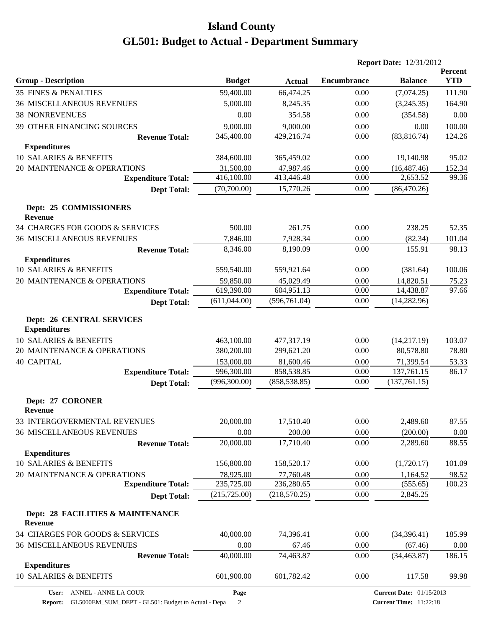|                                                         |               |               |                    | <b>Report Date: 12/31/2012</b> |                       |
|---------------------------------------------------------|---------------|---------------|--------------------|--------------------------------|-----------------------|
| <b>Group - Description</b>                              | <b>Budget</b> | <b>Actual</b> | <b>Encumbrance</b> | <b>Balance</b>                 | Percent<br><b>YTD</b> |
| <b>35 FINES &amp; PENALTIES</b>                         | 59,400.00     | 66,474.25     | 0.00               | (7,074.25)                     | 111.90                |
| <b>36 MISCELLANEOUS REVENUES</b>                        | 5,000.00      | 8,245.35      | 0.00               | (3,245.35)                     | 164.90                |
| <b>38 NONREVENUES</b>                                   | 0.00          | 354.58        | 0.00               | (354.58)                       | 0.00                  |
| 39 OTHER FINANCING SOURCES                              | 9,000.00      | 9,000.00      | 0.00               | 0.00                           | 100.00                |
| <b>Revenue Total:</b>                                   | 345,400.00    | 429,216.74    | 0.00               | (83,816.74)                    | 124.26                |
| <b>Expenditures</b>                                     |               |               |                    |                                |                       |
| 10 SALARIES & BENEFITS                                  | 384,600.00    | 365,459.02    | 0.00               | 19,140.98                      | 95.02                 |
| 20 MAINTENANCE & OPERATIONS                             | 31,500.00     | 47,987.46     | 0.00               | (16, 487.46)                   | 152.34                |
| <b>Expenditure Total:</b>                               | 416,100.00    | 413,446.48    | 0.00               | 2,653.52                       | 99.36                 |
| <b>Dept Total:</b>                                      | (70,700.00)   | 15,770.26     | 0.00               | (86, 470.26)                   |                       |
| Dept: 25 COMMISSIONERS<br><b>Revenue</b>                |               |               |                    |                                |                       |
| 34 CHARGES FOR GOODS & SERVICES                         | 500.00        | 261.75        | 0.00               | 238.25                         | 52.35                 |
| <b>36 MISCELLANEOUS REVENUES</b>                        | 7,846.00      | 7,928.34      | 0.00               | (82.34)                        | 101.04                |
| <b>Revenue Total:</b>                                   | 8,346.00      | 8,190.09      | 0.00               | 155.91                         | 98.13                 |
| <b>Expenditures</b>                                     |               |               |                    |                                |                       |
| 10 SALARIES & BENEFITS                                  | 559,540.00    | 559,921.64    | 0.00               | (381.64)                       | 100.06                |
| 20 MAINTENANCE & OPERATIONS                             | 59,850.00     | 45,029.49     | 0.00               | 14,820.51                      | 75.23                 |
| <b>Expenditure Total:</b>                               | 619,390.00    | 604,951.13    | 0.00               | 14,438.87                      | 97.66                 |
| <b>Dept Total:</b>                                      | (611,044.00)  | (596, 761.04) | 0.00               | (14, 282.96)                   |                       |
| <b>Dept: 26 CENTRAL SERVICES</b><br><b>Expenditures</b> |               |               |                    |                                |                       |
| 10 SALARIES & BENEFITS                                  | 463,100.00    | 477,317.19    | 0.00               | (14,217.19)                    | 103.07                |
| 20 MAINTENANCE & OPERATIONS                             | 380,200.00    | 299,621.20    | 0.00               | 80,578.80                      | 78.80                 |
| <b>40 CAPITAL</b>                                       | 153,000.00    | 81,600.46     | 0.00               | 71,399.54                      | 53.33                 |
| <b>Expenditure Total:</b>                               | 996,300.00    | 858,538.85    | 0.00               | 137,761.15                     | 86.17                 |
| <b>Dept Total:</b>                                      | (996, 300.00) | (858, 538.85) | 0.00               | (137,761.15)                   |                       |
| Dept: 27 CORONER<br><b>Revenue</b>                      |               |               |                    |                                |                       |
| 33 INTERGOVERMENTAL REVENUES                            | 20,000.00     | 17,510.40     | 0.00               | 2,489.60                       | 87.55                 |
| <b>36 MISCELLANEOUS REVENUES</b>                        | 0.00          | 200.00        | 0.00               | (200.00)                       | 0.00                  |
| <b>Revenue Total:</b>                                   | 20,000.00     | 17,710.40     | 0.00               | 2,289.60                       | 88.55                 |
| <b>Expenditures</b>                                     |               |               |                    |                                |                       |
| 10 SALARIES & BENEFITS                                  | 156,800.00    | 158,520.17    | 0.00               | (1,720.17)                     | 101.09                |
| 20 MAINTENANCE & OPERATIONS                             | 78,925.00     | 77,760.48     | 0.00               | 1,164.52                       | 98.52                 |
| <b>Expenditure Total:</b>                               | 235,725.00    | 236,280.65    | 0.00               | (555.65)                       | 100.23                |
| <b>Dept Total:</b>                                      | (215, 725.00) | (218, 570.25) | 0.00               | 2,845.25                       |                       |
| Dept: 28 FACILITIES & MAINTENANCE<br><b>Revenue</b>     |               |               |                    |                                |                       |
| 34 CHARGES FOR GOODS & SERVICES                         | 40,000.00     | 74,396.41     | 0.00               | (34,396.41)                    | 185.99                |
| <b>36 MISCELLANEOUS REVENUES</b>                        | 0.00          | 67.46         | 0.00               | (67.46)                        | 0.00                  |
| <b>Revenue Total:</b>                                   | 40,000.00     | 74,463.87     | 0.00               | (34, 463.87)                   | 186.15                |
| <b>Expenditures</b>                                     |               |               |                    |                                |                       |
| 10 SALARIES & BENEFITS                                  | 601,900.00    | 601,782.42    | 0.00               | 117.58                         | 99.98                 |

**Report:** GL5000EM\_SUM\_DEPT - GL501: Budget to Actual - Depa 2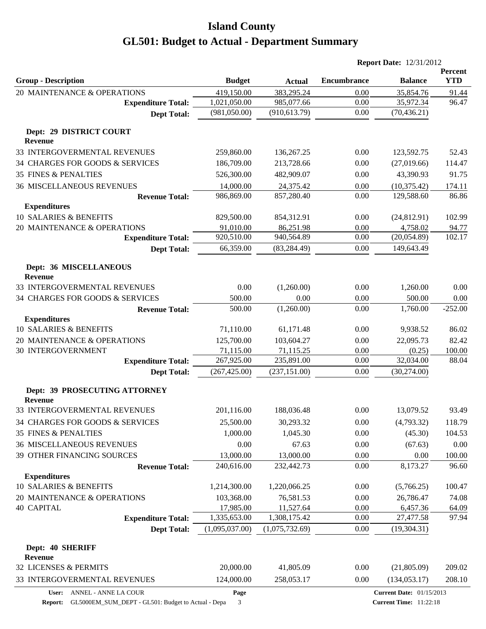|                                                 |                                |                                |                    | <b>Report Date: 12/31/2012</b>  |                              |
|-------------------------------------------------|--------------------------------|--------------------------------|--------------------|---------------------------------|------------------------------|
| <b>Group - Description</b>                      | <b>Budget</b>                  | <b>Actual</b>                  | <b>Encumbrance</b> | <b>Balance</b>                  | <b>Percent</b><br><b>YTD</b> |
| 20 MAINTENANCE & OPERATIONS                     | 419,150.00                     | 383,295.24                     | 0.00               | 35,854.76                       | 91.44                        |
| <b>Expenditure Total:</b>                       | 1,021,050.00                   | 985,077.66                     | 0.00               | 35,972.34                       | 96.47                        |
| <b>Dept Total:</b>                              | (981,050.00)                   | (910, 613.79)                  | 0.00               | (70, 436.21)                    |                              |
| Dept: 29 DISTRICT COURT<br><b>Revenue</b>       |                                |                                |                    |                                 |                              |
| 33 INTERGOVERMENTAL REVENUES                    | 259,860.00                     | 136,267.25                     | 0.00               | 123,592.75                      | 52.43                        |
| 34 CHARGES FOR GOODS & SERVICES                 | 186,709.00                     | 213,728.66                     | 0.00               | (27,019.66)                     | 114.47                       |
| <b>35 FINES &amp; PENALTIES</b>                 | 526,300.00                     | 482,909.07                     | 0.00               | 43,390.93                       | 91.75                        |
| <b>36 MISCELLANEOUS REVENUES</b>                | 14,000.00                      | 24,375.42                      | 0.00               | (10, 375.42)                    | 174.11                       |
| <b>Revenue Total:</b>                           | 986,869.00                     | 857,280.40                     | 0.00               | 129,588.60                      | 86.86                        |
| <b>Expenditures</b>                             |                                |                                |                    |                                 |                              |
| 10 SALARIES & BENEFITS                          | 829,500.00                     | 854,312.91                     | 0.00               | (24,812.91)                     | 102.99                       |
| 20 MAINTENANCE & OPERATIONS                     | 91,010.00                      | 86,251.98                      | 0.00               | 4,758.02                        | 94.77                        |
| <b>Expenditure Total:</b>                       | 920,510.00                     | 940,564.89                     | 0.00               | (20, 054.89)                    | 102.17                       |
| <b>Dept Total:</b>                              | 66,359.00                      | (83, 284.49)                   | 0.00               | 149,643.49                      |                              |
| Dept: 36 MISCELLANEOUS<br><b>Revenue</b>        |                                |                                |                    |                                 |                              |
| 33 INTERGOVERMENTAL REVENUES                    | 0.00                           | (1,260.00)                     | 0.00               | 1,260.00                        | 0.00                         |
| 34 CHARGES FOR GOODS & SERVICES                 | 500.00                         | 0.00                           | 0.00               | 500.00                          | 0.00                         |
| <b>Revenue Total:</b>                           | 500.00                         | (1,260.00)                     | 0.00               | 1,760.00                        | $-252.00$                    |
| <b>Expenditures</b>                             |                                |                                |                    |                                 |                              |
| 10 SALARIES & BENEFITS                          | 71,110.00                      | 61,171.48                      | 0.00               | 9,938.52                        | 86.02                        |
| 20 MAINTENANCE & OPERATIONS                     | 125,700.00                     | 103,604.27                     | 0.00               | 22,095.73                       | 82.42                        |
| 30 INTERGOVERNMENT                              | 71,115.00                      | 71,115.25                      | 0.00               | (0.25)                          | 100.00                       |
| <b>Expenditure Total:</b>                       | 267,925.00                     | 235,891.00                     | 0.00               | 32,034.00                       | 88.04                        |
| <b>Dept Total:</b>                              | (267, 425.00)                  | (237, 151.00)                  | 0.00               | (30,274.00)                     |                              |
| Dept: 39 PROSECUTING ATTORNEY<br><b>Revenue</b> |                                |                                |                    |                                 |                              |
| 33 INTERGOVERMENTAL REVENUES                    | 201,116.00                     | 188,036.48                     | 0.00               | 13,079.52                       | 93.49                        |
| 34 CHARGES FOR GOODS & SERVICES                 | 25,500.00                      | 30,293.32                      | 0.00               | (4,793.32)                      | 118.79                       |
| <b>35 FINES &amp; PENALTIES</b>                 | 1,000.00                       | 1,045.30                       | 0.00               | (45.30)                         | 104.53                       |
| <b>36 MISCELLANEOUS REVENUES</b>                | 0.00                           | 67.63                          | 0.00               | (67.63)                         | 0.00                         |
| 39 OTHER FINANCING SOURCES                      | 13,000.00                      | 13,000.00                      | 0.00               | 0.00                            | 100.00                       |
| <b>Revenue Total:</b>                           | 240,616.00                     | 232,442.73                     | 0.00               | 8,173.27                        | 96.60                        |
| <b>Expenditures</b>                             |                                |                                |                    |                                 |                              |
| 10 SALARIES & BENEFITS                          | 1,214,300.00                   | 1,220,066.25                   | 0.00               | (5,766.25)                      | 100.47                       |
| 20 MAINTENANCE & OPERATIONS                     | 103,368.00                     | 76,581.53                      | 0.00               | 26,786.47                       | 74.08                        |
| <b>40 CAPITAL</b>                               | 17,985.00                      | 11,527.64                      | 0.00               | 6,457.36                        | 64.09                        |
| <b>Expenditure Total:</b><br><b>Dept Total:</b> | 1,335,653.00<br>(1,095,037.00) | 1,308,175.42<br>(1,075,732.69) | 0.00<br>0.00       | 27,477.58<br>(19, 304.31)       | 97.94                        |
|                                                 |                                |                                |                    |                                 |                              |
| Dept: 40 SHERIFF                                |                                |                                |                    |                                 |                              |
| <b>Revenue</b>                                  |                                |                                |                    |                                 |                              |
| 32 LICENSES & PERMITS                           | 20,000.00                      | 41,805.09                      | 0.00               | (21,805.09)                     | 209.02                       |
| 33 INTERGOVERMENTAL REVENUES                    | 124,000.00                     | 258,053.17                     | 0.00               | (134, 053.17)                   | 208.10                       |
| ANNEL - ANNE LA COUR<br>User:                   | Page                           |                                |                    | <b>Current Date: 01/15/2013</b> |                              |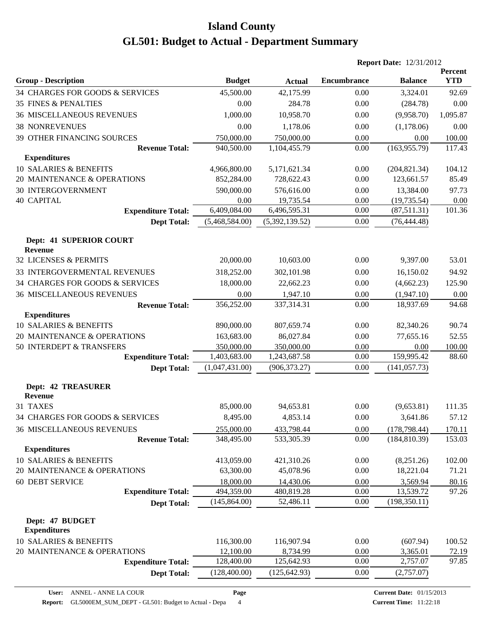|                                             |                |                |                    | <b>Report Date: 12/31/2012</b> |                              |
|---------------------------------------------|----------------|----------------|--------------------|--------------------------------|------------------------------|
| <b>Group - Description</b>                  | <b>Budget</b>  | <b>Actual</b>  | <b>Encumbrance</b> | <b>Balance</b>                 | <b>Percent</b><br><b>YTD</b> |
| 34 CHARGES FOR GOODS & SERVICES             | 45,500.00      | 42,175.99      | 0.00               | 3,324.01                       | 92.69                        |
| 35 FINES & PENALTIES                        | 0.00           | 284.78         | 0.00               | (284.78)                       | 0.00                         |
| <b>36 MISCELLANEOUS REVENUES</b>            | 1,000.00       | 10,958.70      | 0.00               | (9,958.70)                     | 1,095.87                     |
| <b>38 NONREVENUES</b>                       | 0.00           | 1,178.06       | 0.00               | (1,178.06)                     | 0.00                         |
| 39 OTHER FINANCING SOURCES                  | 750,000.00     | 750,000.00     | 0.00               | 0.00                           | 100.00                       |
| <b>Revenue Total:</b>                       | 940,500.00     | 1,104,455.79   | 0.00               | (163, 955.79)                  | 117.43                       |
| <b>Expenditures</b>                         |                |                |                    |                                |                              |
| <b>10 SALARIES &amp; BENEFITS</b>           | 4,966,800.00   | 5,171,621.34   | 0.00               | (204, 821.34)                  | 104.12                       |
| 20 MAINTENANCE & OPERATIONS                 | 852,284.00     | 728,622.43     | 0.00               | 123,661.57                     | 85.49                        |
| <b>30 INTERGOVERNMENT</b>                   | 590,000.00     | 576,616.00     | 0.00               | 13,384.00                      | 97.73                        |
| <b>40 CAPITAL</b>                           | 0.00           | 19,735.54      | 0.00               | (19, 735.54)                   | 0.00                         |
| <b>Expenditure Total:</b>                   | 6,409,084.00   | 6,496,595.31   | 0.00               | (87,511.31)                    | 101.36                       |
| <b>Dept Total:</b>                          | (5,468,584.00) | (5,392,139.52) | 0.00               | (76, 444.48)                   |                              |
| Dept: 41 SUPERIOR COURT<br><b>Revenue</b>   |                |                |                    |                                |                              |
| 32 LICENSES & PERMITS                       | 20,000.00      | 10,603.00      | 0.00               | 9,397.00                       | 53.01                        |
| 33 INTERGOVERMENTAL REVENUES                | 318,252.00     | 302,101.98     | 0.00               | 16,150.02                      | 94.92                        |
| 34 CHARGES FOR GOODS & SERVICES             | 18,000.00      | 22,662.23      | 0.00               | (4,662.23)                     | 125.90                       |
| <b>36 MISCELLANEOUS REVENUES</b>            | 0.00           | 1,947.10       | 0.00               | (1,947.10)                     | 0.00                         |
| <b>Revenue Total:</b>                       | 356,252.00     | 337,314.31     | 0.00               | 18,937.69                      | 94.68                        |
| <b>Expenditures</b>                         |                |                |                    |                                |                              |
| 10 SALARIES & BENEFITS                      | 890,000.00     | 807,659.74     | 0.00               | 82,340.26                      | 90.74                        |
| 20 MAINTENANCE & OPERATIONS                 | 163,683.00     | 86,027.84      | 0.00               | 77,655.16                      | 52.55                        |
| 50 INTERDEPT & TRANSFERS                    | 350,000.00     | 350,000.00     | 0.00               | $0.00\,$                       | 100.00                       |
| <b>Expenditure Total:</b>                   | 1,403,683.00   | 1,243,687.58   | 0.00               | 159,995.42                     | 88.60                        |
| <b>Dept Total:</b>                          | (1,047,431.00) | (906, 373.27)  | 0.00               | (141, 057.73)                  |                              |
| <b>Dept: 42 TREASURER</b><br><b>Revenue</b> |                |                |                    |                                |                              |
| 31 TAXES                                    | 85,000.00      | 94,653.81      | 0.00               | (9,653.81)                     | 111.35                       |
| 34 CHARGES FOR GOODS & SERVICES             | 8,495.00       | 4,853.14       | 0.00               | 3,641.86                       | 57.12                        |
| <b>36 MISCELLANEOUS REVENUES</b>            | 255,000.00     | 433,798.44     | 0.00               | (178, 798.44)                  | 170.11                       |
| <b>Revenue Total:</b>                       | 348,495.00     | 533,305.39     | 0.00               | (184, 810.39)                  | 153.03                       |
| <b>Expenditures</b>                         |                |                |                    |                                |                              |
| <b>10 SALARIES &amp; BENEFITS</b>           | 413,059.00     | 421,310.26     | 0.00               | (8,251.26)                     | 102.00                       |
| 20 MAINTENANCE & OPERATIONS                 | 63,300.00      | 45,078.96      | 0.00               | 18,221.04                      | 71.21                        |
| <b>60 DEBT SERVICE</b>                      | 18,000.00      | 14,430.06      | 0.00               | 3,569.94                       | 80.16                        |
| <b>Expenditure Total:</b>                   | 494,359.00     | 480,819.28     | 0.00               | 13,539.72                      | 97.26                        |
| <b>Dept Total:</b>                          | (145, 864.00)  | 52,486.11      | 0.00               | (198, 350.11)                  |                              |
| Dept: 47 BUDGET<br><b>Expenditures</b>      |                |                |                    |                                |                              |
| 10 SALARIES & BENEFITS                      | 116,300.00     | 116,907.94     | 0.00               | (607.94)                       | 100.52                       |
| 20 MAINTENANCE & OPERATIONS                 | 12,100.00      | 8,734.99       | 0.00               | 3,365.01                       | 72.19                        |
| <b>Expenditure Total:</b>                   | 128,400.00     | 125,642.93     | 0.00               | 2,757.07                       | 97.85                        |
| <b>Dept Total:</b>                          | (128, 400.00)  | (125, 642.93)  | 0.00               | (2,757.07)                     |                              |

**Page**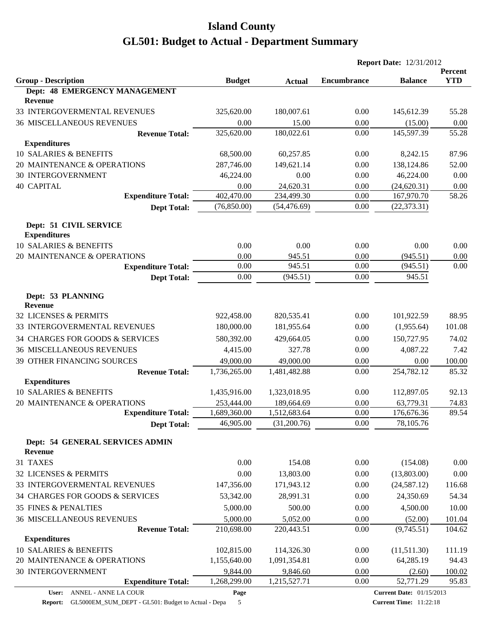|                                                             |               |               |                    | <b>Report Date: 12/31/2012</b>  |            |
|-------------------------------------------------------------|---------------|---------------|--------------------|---------------------------------|------------|
|                                                             |               |               |                    | <b>Balance</b>                  | Percent    |
| <b>Group - Description</b><br>Dept: 48 EMERGENCY MANAGEMENT | <b>Budget</b> | <b>Actual</b> | <b>Encumbrance</b> |                                 | <b>YTD</b> |
| Revenue                                                     |               |               |                    |                                 |            |
| 33 INTERGOVERMENTAL REVENUES                                | 325,620.00    | 180,007.61    | 0.00               | 145,612.39                      | 55.28      |
| 36 MISCELLANEOUS REVENUES                                   | 0.00          | 15.00         | 0.00               | (15.00)                         | 0.00       |
| <b>Revenue Total:</b>                                       | 325,620.00    | 180,022.61    | 0.00               | 145,597.39                      | 55.28      |
| <b>Expenditures</b>                                         |               |               |                    |                                 |            |
| 10 SALARIES & BENEFITS                                      | 68,500.00     | 60,257.85     | 0.00               | 8,242.15                        | 87.96      |
| 20 MAINTENANCE & OPERATIONS                                 | 287,746.00    | 149,621.14    | 0.00               | 138,124.86                      | 52.00      |
| <b>30 INTERGOVERNMENT</b>                                   | 46,224.00     | 0.00          | 0.00               | 46,224.00                       | 0.00       |
| <b>40 CAPITAL</b>                                           | 0.00          | 24,620.31     | 0.00               | (24, 620.31)                    | 0.00       |
| <b>Expenditure Total:</b>                                   | 402,470.00    | 234,499.30    | 0.00               | 167,970.70                      | 58.26      |
| <b>Dept Total:</b>                                          | (76, 850.00)  | (54, 476.69)  | 0.00               | (22, 373.31)                    |            |
| Dept: 51 CIVIL SERVICE<br><b>Expenditures</b>               |               |               |                    |                                 |            |
| 10 SALARIES & BENEFITS                                      | 0.00          | 0.00          | 0.00               | 0.00                            | 0.00       |
| 20 MAINTENANCE & OPERATIONS                                 | 0.00          | 945.51        | 0.00               | (945.51)                        | 0.00       |
| <b>Expenditure Total:</b>                                   | 0.00          | 945.51        | 0.00               | (945.51)                        | 0.00       |
| <b>Dept Total:</b>                                          | 0.00          | (945.51)      | 0.00               | 945.51                          |            |
| Dept: 53 PLANNING<br><b>Revenue</b>                         |               |               |                    |                                 |            |
| 32 LICENSES & PERMITS                                       | 922,458.00    | 820,535.41    | 0.00               | 101,922.59                      | 88.95      |
| 33 INTERGOVERMENTAL REVENUES                                | 180,000.00    | 181,955.64    | 0.00               | (1,955.64)                      | 101.08     |
| 34 CHARGES FOR GOODS & SERVICES                             | 580,392.00    | 429,664.05    | 0.00               | 150,727.95                      | 74.02      |
| <b>36 MISCELLANEOUS REVENUES</b>                            | 4,415.00      | 327.78        | 0.00               | 4,087.22                        | 7.42       |
| 39 OTHER FINANCING SOURCES                                  | 49,000.00     | 49,000.00     | 0.00               | 0.00                            | 100.00     |
| <b>Revenue Total:</b>                                       | 1,736,265.00  | 1,481,482.88  | 0.00               | 254,782.12                      | 85.32      |
| <b>Expenditures</b>                                         |               |               |                    |                                 |            |
| 10 SALARIES & BENEFITS                                      | 1,435,916.00  | 1,323,018.95  | 0.00               | 112,897.05                      | 92.13      |
| 20 MAINTENANCE & OPERATIONS                                 | 253,444.00    | 189,664.69    | 0.00               | 63,779.31                       | 74.83      |
| <b>Expenditure Total:</b>                                   | 1,689,360.00  | 1,512,683.64  | $0.00\,$           | 176,676.36                      | 89.54      |
| <b>Dept Total:</b>                                          | 46,905.00     | (31,200.76)   | 0.00               | 78,105.76                       |            |
| Dept: 54 GENERAL SERVICES ADMIN<br>Revenue                  |               |               |                    |                                 |            |
| 31 TAXES                                                    | 0.00          | 154.08        | 0.00               | (154.08)                        | 0.00       |
| 32 LICENSES & PERMITS                                       | 0.00          | 13,803.00     | 0.00               | (13,803.00)                     | 0.00       |
| 33 INTERGOVERMENTAL REVENUES                                | 147,356.00    | 171,943.12    | 0.00               | (24, 587.12)                    | 116.68     |
| 34 CHARGES FOR GOODS & SERVICES                             | 53,342.00     | 28,991.31     | 0.00               | 24,350.69                       | 54.34      |
| <b>35 FINES &amp; PENALTIES</b>                             | 5,000.00      | 500.00        | 0.00               | 4,500.00                        | 10.00      |
| 36 MISCELLANEOUS REVENUES                                   | 5,000.00      | 5,052.00      | 0.00               | (52.00)                         | 101.04     |
| <b>Revenue Total:</b>                                       | 210,698.00    | 220,443.51    | 0.00               | (9,745.51)                      | 104.62     |
| <b>Expenditures</b>                                         |               |               |                    |                                 |            |
| 10 SALARIES & BENEFITS                                      | 102,815.00    | 114,326.30    | 0.00               | (11,511.30)                     | 111.19     |
| 20 MAINTENANCE & OPERATIONS                                 | 1,155,640.00  | 1,091,354.81  | 0.00               | 64,285.19                       | 94.43      |
| 30 INTERGOVERNMENT                                          | 9,844.00      | 9,846.60      | 0.00               | (2.60)                          | 100.02     |
| <b>Expenditure Total:</b>                                   | 1,268,299.00  | 1,215,527.71  | 0.00               | 52,771.29                       | 95.83      |
| ANNEL - ANNE LA COUR<br>User:                               | Page          |               |                    | <b>Current Date: 01/15/2013</b> |            |

**Current Date:** 01/15/2013

**Current Time:** 11:22:18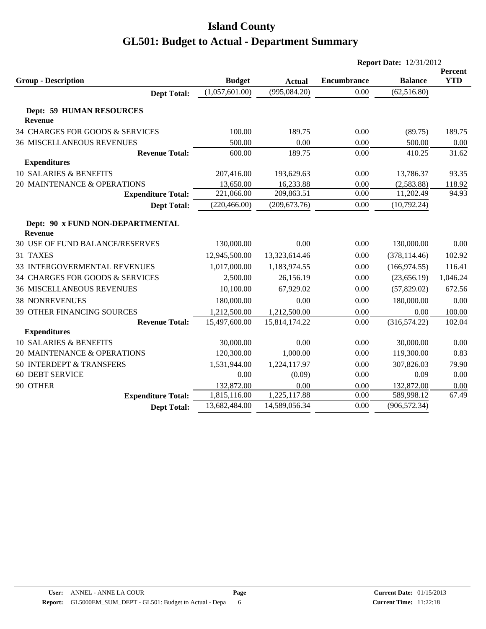|                                                    |                |               |                    | <b>Report Date: 12/31/2012</b> |                              |  |
|----------------------------------------------------|----------------|---------------|--------------------|--------------------------------|------------------------------|--|
| <b>Group - Description</b>                         | <b>Budget</b>  | <b>Actual</b> | <b>Encumbrance</b> | <b>Balance</b>                 | <b>Percent</b><br><b>YTD</b> |  |
| <b>Dept Total:</b>                                 | (1,057,601.00) | (995,084.20)  | 0.00               | (62, 516.80)                   |                              |  |
| <b>Dept: 59 HUMAN RESOURCES</b><br><b>Revenue</b>  |                |               |                    |                                |                              |  |
| 34 CHARGES FOR GOODS & SERVICES                    | 100.00         | 189.75        | 0.00               | (89.75)                        | 189.75                       |  |
| <b>36 MISCELLANEOUS REVENUES</b>                   | 500.00         | 0.00          | 0.00               | 500.00                         | 0.00                         |  |
| <b>Revenue Total:</b>                              | 600.00         | 189.75        | 0.00               | 410.25                         | 31.62                        |  |
| <b>Expenditures</b>                                |                |               |                    |                                |                              |  |
| <b>10 SALARIES &amp; BENEFITS</b>                  | 207,416.00     | 193,629.63    | 0.00               | 13,786.37                      | 93.35                        |  |
| 20 MAINTENANCE & OPERATIONS                        | 13,650.00      | 16,233.88     | 0.00               | (2,583.88)                     | 118.92                       |  |
| <b>Expenditure Total:</b>                          | 221,066.00     | 209,863.51    | 0.00               | 11,202.49                      | 94.93                        |  |
| <b>Dept Total:</b>                                 | (220, 466.00)  | (209, 673.76) | 0.00               | (10,792.24)                    |                              |  |
| Dept: 90 x FUND NON-DEPARTMENTAL<br><b>Revenue</b> |                |               |                    |                                |                              |  |
| 30 USE OF FUND BALANCE/RESERVES                    | 130,000.00     | 0.00          | 0.00               | 130,000.00                     | 0.00                         |  |
| 31 TAXES                                           | 12,945,500.00  | 13,323,614.46 | 0.00               | (378, 114.46)                  | 102.92                       |  |
| 33 INTERGOVERMENTAL REVENUES                       | 1,017,000.00   | 1,183,974.55  | 0.00               | (166, 974.55)                  | 116.41                       |  |
| 34 CHARGES FOR GOODS & SERVICES                    | 2,500.00       | 26,156.19     | 0.00               | (23,656.19)                    | 1,046.24                     |  |
| <b>36 MISCELLANEOUS REVENUES</b>                   | 10,100.00      | 67,929.02     | 0.00               | (57,829.02)                    | 672.56                       |  |
| <b>38 NONREVENUES</b>                              | 180,000.00     | 0.00          | 0.00               | 180,000.00                     | 0.00                         |  |
| 39 OTHER FINANCING SOURCES                         | 1,212,500.00   | 1,212,500.00  | 0.00               | 0.00                           | 100.00                       |  |
| <b>Revenue Total:</b>                              | 15,497,600.00  | 15,814,174.22 | 0.00               | (316, 574.22)                  | 102.04                       |  |
| <b>Expenditures</b>                                |                |               |                    |                                |                              |  |
| 10 SALARIES & BENEFITS                             | 30,000.00      | 0.00          | 0.00               | 30,000.00                      | 0.00                         |  |
| 20 MAINTENANCE & OPERATIONS                        | 120,300.00     | 1,000.00      | 0.00               | 119,300.00                     | 0.83                         |  |
| 50 INTERDEPT & TRANSFERS                           | 1,531,944.00   | 1,224,117.97  | 0.00               | 307,826.03                     | 79.90                        |  |
| <b>60 DEBT SERVICE</b>                             | 0.00           | (0.09)        | 0.00               | 0.09                           | 0.00                         |  |
| 90 OTHER                                           | 132,872.00     | 0.00          | 0.00               | 132,872.00                     | 0.00                         |  |
| <b>Expenditure Total:</b>                          | 1,815,116.00   | 1,225,117.88  | 0.00               | 589,998.12                     | 67.49                        |  |
| <b>Dept Total:</b>                                 | 13,682,484.00  | 14,589,056.34 | 0.00               | (906, 572.34)                  |                              |  |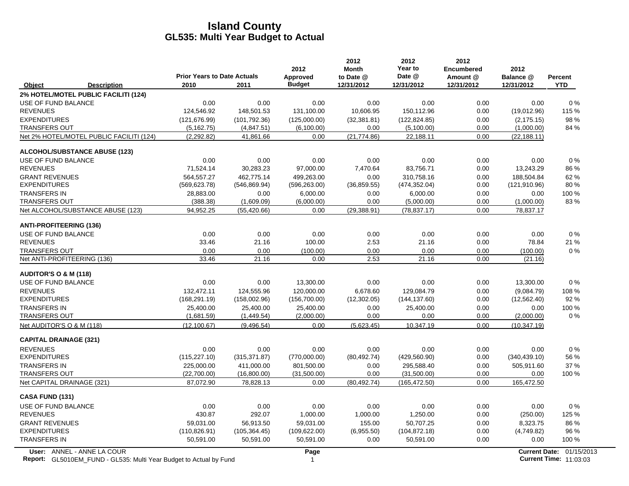|                                                                                                  | <b>Prior Years to Date Actuals</b> |               | 2012<br><b>Approved</b> | 2012<br><b>Month</b><br>to Date @ | 2012<br>Year to<br>Date @ | 2012<br><b>Encumbered</b><br>Amount @ | 2012<br>Balance @ | <b>Percent</b>                                            |
|--------------------------------------------------------------------------------------------------|------------------------------------|---------------|-------------------------|-----------------------------------|---------------------------|---------------------------------------|-------------------|-----------------------------------------------------------|
| Object<br><b>Description</b>                                                                     | 2010                               | 2011          | <b>Budget</b>           | 12/31/2012                        | 12/31/2012                | 12/31/2012                            | 12/31/2012        | <b>YTD</b>                                                |
| 2% HOTEL/MOTEL PUBLIC FACILITI (124)                                                             |                                    |               |                         |                                   |                           |                                       |                   |                                                           |
| USE OF FUND BALANCE                                                                              | 0.00                               | 0.00          | 0.00                    | 0.00                              | 0.00                      | 0.00                                  | 0.00              | 0%                                                        |
| <b>REVENUES</b>                                                                                  | 124,546.92                         | 148,501.53    | 131,100.00              | 10,606.95                         | 150,112.96                | 0.00                                  | (19,012.96)       | 115 %                                                     |
| <b>EXPENDITURES</b>                                                                              | (121, 676.99)                      | (101, 792.36) | (125,000.00)            | (32, 381.81)                      | (122, 824.85)             | 0.00                                  | (2, 175.15)       | 98 %                                                      |
| <b>TRANSFERS OUT</b>                                                                             | (5, 162.75)                        | (4,847.51)    | (6,100.00)              | 0.00                              | (5,100.00)                | 0.00                                  | (1,000.00)        | 84 %                                                      |
| Net 2% HOTEL/MOTEL PUBLIC FACILITI (124)                                                         | (2, 292.82)                        | 41,861.66     | 0.00                    | (21, 774.86)                      | 22,188.11                 | 0.00                                  | (22, 188.11)      |                                                           |
| ALCOHOL/SUBSTANCE ABUSE (123)                                                                    |                                    |               |                         |                                   |                           |                                       |                   |                                                           |
| USE OF FUND BALANCE                                                                              | 0.00                               | 0.00          | 0.00                    | 0.00                              | 0.00                      | 0.00                                  | 0.00              | 0%                                                        |
| <b>REVENUES</b>                                                                                  | 71,524.14                          | 30,283.23     | 97,000.00               | 7,470.64                          | 83,756.71                 | 0.00                                  | 13,243.29         | 86 %                                                      |
| <b>GRANT REVENUES</b>                                                                            | 564,557.27                         | 462,775.14    | 499,263.00              | 0.00                              | 310,758.16                | 0.00                                  | 188,504.84        | 62 %                                                      |
| <b>EXPENDITURES</b>                                                                              | (569, 623.78)                      | (546, 869.94) | (596, 263.00)           | (36, 859.55)                      | (474, 352.04)             | 0.00                                  | (121, 910.96)     | 80%                                                       |
| <b>TRANSFERS IN</b>                                                                              | 28,883.00                          | 0.00          | 6,000.00                | 0.00                              | 6,000.00                  | 0.00                                  | 0.00              | 100 %                                                     |
| TRANSFERS OUT                                                                                    | (388.38)                           | (1,609.09)    | (6,000.00)              | 0.00                              | (5,000.00)                | 0.00                                  | (1,000.00)        | 83%                                                       |
| Net ALCOHOL/SUBSTANCE ABUSE (123)                                                                | 94,952.25                          | (55, 420.66)  | 0.00                    | (29, 388.91)                      | (78, 837.17)              | 0.00                                  | 78,837.17         |                                                           |
| <b>ANTI-PROFITEERING (136)</b>                                                                   |                                    |               |                         |                                   |                           |                                       |                   |                                                           |
| USE OF FUND BALANCE                                                                              | 0.00                               | 0.00          | 0.00                    | 0.00                              | 0.00                      | 0.00                                  | 0.00              | 0%                                                        |
| <b>REVENUES</b>                                                                                  | 33.46                              | 21.16         | 100.00                  | 2.53                              | 21.16                     | 0.00                                  | 78.84             | 21 %                                                      |
| <b>TRANSFERS OUT</b>                                                                             | 0.00                               | 0.00          | (100.00)                | 0.00                              | 0.00                      | 0.00                                  | (100.00)          | $0\%$                                                     |
| Net ANTI-PROFITEERING (136)                                                                      | 33.46                              | 21.16         | 0.00                    | 2.53                              | 21.16                     | 0.00                                  | (21.16)           |                                                           |
| <b>AUDITOR'S O &amp; M (118)</b>                                                                 |                                    |               |                         |                                   |                           |                                       |                   |                                                           |
| USE OF FUND BALANCE                                                                              | 0.00                               | 0.00          | 13,300.00               | 0.00                              | 0.00                      | 0.00                                  | 13,300.00         | $0\%$                                                     |
| <b>REVENUES</b>                                                                                  | 132,472.11                         | 124,555.96    | 120,000.00              | 6,678.60                          | 129,084.79                | 0.00                                  | (9,084.79)        | 108 %                                                     |
| <b>EXPENDITURES</b>                                                                              | (168, 291.19)                      | (158,002.96)  | (156, 700.00)           | (12,302.05)                       | (144, 137.60)             | 0.00                                  | (12, 562.40)      | 92 %                                                      |
| <b>TRANSFERS IN</b>                                                                              | 25,400.00                          | 25,400.00     | 25,400.00               | 0.00                              | 25,400.00                 | 0.00                                  | 0.00              | 100 %                                                     |
| <b>TRANSFERS OUT</b>                                                                             | (1,681.59)                         | (1,449.54)    | (2,000.00)              | 0.00                              | 0.00                      | 0.00                                  | (2,000.00)        | $0\%$                                                     |
| Net AUDITOR'S O & M (118)                                                                        | (12, 100.67)                       | (9,496.54)    | 0.00                    | (5,623.45)                        | 10,347.19                 | 0.00                                  | (10, 347.19)      |                                                           |
| <b>CAPITAL DRAINAGE (321)</b>                                                                    |                                    |               |                         |                                   |                           |                                       |                   |                                                           |
| <b>REVENUES</b>                                                                                  | 0.00                               | 0.00          | 0.00                    | 0.00                              | 0.00                      | 0.00                                  | 0.00              | 0%                                                        |
| <b>EXPENDITURES</b>                                                                              | (115, 227.10)                      | (315, 371.87) | (770,000.00)            | (80, 492.74)                      | (429, 560.90)             | 0.00                                  | (340, 439.10)     | 56 %                                                      |
| <b>TRANSFERS IN</b>                                                                              | 225,000.00                         | 411,000.00    | 801,500.00              | 0.00                              | 295,588.40                | 0.00                                  | 505,911.60        | 37 %                                                      |
| <b>TRANSFERS OUT</b>                                                                             | (22,700.00)                        | (16,800.00)   | (31,500.00)             | 0.00                              | (31,500.00)               | 0.00                                  | 0.00              | 100 %                                                     |
| Net CAPITAL DRAINAGE (321)                                                                       | 87,072.90                          | 78,828.13     | 0.00                    | (80, 492.74)                      | (165, 472.50)             | 0.00                                  | 165,472.50        |                                                           |
| CASA FUND (131)                                                                                  |                                    |               |                         |                                   |                           |                                       |                   |                                                           |
| USE OF FUND BALANCE                                                                              | 0.00                               | 0.00          | 0.00                    | 0.00                              | 0.00                      | 0.00                                  | 0.00              | 0%                                                        |
| <b>REVENUES</b>                                                                                  | 430.87                             | 292.07        | 1,000.00                | 1,000.00                          | 1,250.00                  | 0.00                                  | (250.00)          | 125 %                                                     |
| <b>GRANT REVENUES</b>                                                                            | 59,031.00                          | 56,913.50     | 59,031.00               | 155.00                            | 50,707.25                 | 0.00                                  | 8,323.75          | 86 %                                                      |
| <b>EXPENDITURES</b>                                                                              | (110, 826.91)                      | (105, 364.45) | (109, 622.00)           | (6,955.50)                        | (104, 872.18)             | 0.00                                  | (4,749.82)        | 96 %                                                      |
| <b>TRANSFERS IN</b>                                                                              | 50,591.00                          | 50,591.00     | 50,591.00               | 0.00                              | 50,591.00                 | 0.00                                  | 0.00              | 100 %                                                     |
| User: ANNEL - ANNE LA COUR<br>Report: GL5010EM_FUND - GL535: Multi Year Budget to Actual by Fund |                                    |               | Page<br>$\mathbf{1}$    |                                   |                           |                                       |                   | Current Date: 01/15/2013<br><b>Current Time: 11:03:03</b> |

Report: GL5010EM\_FUND - GL535: Multi Year Budget to Actual by Fund 11:03:03 11:03:03 11:03:03 11:03:03 11:03:03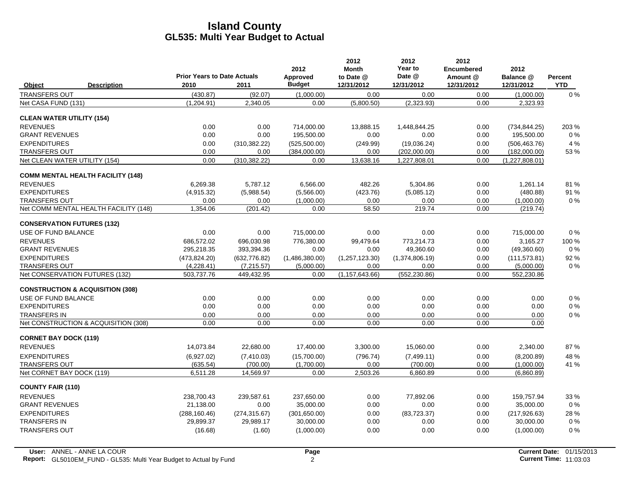|                                             |                                          | <b>Prior Years to Date Actuals</b> |               | 2012<br>Approved | 2012<br><b>Month</b><br>to Date @ | 2012<br>Year to<br>Date @ | 2012<br><b>Encumbered</b><br>Amount @ | 2012<br>Balance @ | Percent    |
|---------------------------------------------|------------------------------------------|------------------------------------|---------------|------------------|-----------------------------------|---------------------------|---------------------------------------|-------------------|------------|
| Object                                      | <b>Description</b>                       | 2010                               | 2011          | <b>Budget</b>    | 12/31/2012                        | 12/31/2012                | 12/31/2012                            | 12/31/2012        | <b>YTD</b> |
| TRANSFERS OUT                               |                                          | (430.87)                           | (92.07)       | (1,000.00)       | 0.00                              | 0.00                      | 0.00                                  | (1,000.00)        | $0\%$      |
| Net CASA FUND (131)                         |                                          | (1,204.91)                         | 2,340.05      | 0.00             | (5,800.50)                        | (2,323.93)                | 0.00                                  | 2,323.93          |            |
| <b>CLEAN WATER UTILITY (154)</b>            |                                          |                                    |               |                  |                                   |                           |                                       |                   |            |
| <b>REVENUES</b>                             |                                          | 0.00                               | 0.00          | 714.000.00       | 13.888.15                         | 1.448.844.25              | 0.00                                  | (734.844.25)      | 203 %      |
| <b>GRANT REVENUES</b>                       |                                          | 0.00                               | 0.00          | 195,500.00       | 0.00                              | 0.00                      | 0.00                                  | 195,500.00        | $0\%$      |
| <b>EXPENDITURES</b>                         |                                          | 0.00                               | (310, 382.22) | (525,500.00)     | (249.99)                          | (19,036.24)               | 0.00                                  | (506, 463.76)     | 4 %        |
| <b>TRANSFERS OUT</b>                        |                                          | 0.00                               | 0.00          | (384,000.00)     | 0.00                              | (202,000.00)              | 0.00                                  | (182,000.00)      | 53%        |
| Net CLEAN WATER UTILITY (154)               |                                          | 0.00                               | (310, 382.22) | 0.00             | 13,638.16                         | 1,227,808.01              | 0.00                                  | (1,227,808.01)    |            |
|                                             | <b>COMM MENTAL HEALTH FACILITY (148)</b> |                                    |               |                  |                                   |                           |                                       |                   |            |
| <b>REVENUES</b>                             |                                          | 6,269.38                           | 5,787.12      | 6,566.00         | 482.26                            | 5,304.86                  | 0.00                                  | 1,261.14          | 81%        |
| <b>EXPENDITURES</b>                         |                                          | (4,915.32)                         | (5,988.54)    | (5,566.00)       | (423.76)                          | (5,085.12)                | 0.00                                  | (480.88)          | 91 %       |
| <b>TRANSFERS OUT</b>                        |                                          | 0.00                               | 0.00          | (1,000.00)       | 0.00                              | 0.00                      | 0.00                                  | (1,000.00)        | $0\%$      |
|                                             | Net COMM MENTAL HEALTH FACILITY (148)    | 1,354.06                           | (201.42)      | 0.00             | 58.50                             | 219.74                    | 0.00                                  | (219.74)          |            |
| <b>CONSERVATION FUTURES (132)</b>           |                                          |                                    |               |                  |                                   |                           |                                       |                   |            |
| USE OF FUND BALANCE                         |                                          | 0.00                               | 0.00          | 715,000.00       | 0.00                              | 0.00                      | 0.00                                  | 715,000.00        | 0%         |
| <b>REVENUES</b>                             |                                          | 686,572.02                         | 696,030.98    | 776,380.00       | 99,479.64                         | 773,214.73                | 0.00                                  | 3,165.27          | 100 %      |
| <b>GRANT REVENUES</b>                       |                                          | 295,218.35                         | 393,394.36    | 0.00             | 0.00                              | 49,360.60                 | 0.00                                  | (49,360.60)       | $0\%$      |
| <b>EXPENDITURES</b>                         |                                          | (473, 824.20)                      | (632, 776.82) | (1,486,380.00)   | (1,257,123.30)                    | (1,374,806.19)            | 0.00                                  | (111, 573.81)     | 92 %       |
| <b>TRANSFERS OUT</b>                        |                                          | (4,228.41)                         | (7,215.57)    | (5,000.00)       | 0.00                              | 0.00                      | 0.00                                  | (5,000.00)        | $0\%$      |
| Net CONSERVATION FUTURES (132)              |                                          | 503,737.76                         | 449,432.95    | 0.00             | (1, 157, 643.66)                  | (552, 230.86)             | 0.00                                  | 552,230.86        |            |
| <b>CONSTRUCTION &amp; ACQUISITION (308)</b> |                                          |                                    |               |                  |                                   |                           |                                       |                   |            |
| USE OF FUND BALANCE                         |                                          | 0.00                               | 0.00          | 0.00             | 0.00                              | 0.00                      | 0.00                                  | 0.00              | $0\%$      |
| <b>EXPENDITURES</b>                         |                                          | 0.00                               | 0.00          | 0.00             | 0.00                              | 0.00                      | 0.00                                  | 0.00              | $0\%$      |
| <b>TRANSFERS IN</b>                         |                                          | 0.00                               | 0.00          | 0.00             | 0.00                              | 0.00                      | 0.00                                  | 0.00              | $0\%$      |
|                                             | Net CONSTRUCTION & ACQUISITION (308)     | 0.00                               | 0.00          | 0.00             | 0.00                              | 0.00                      | 0.00                                  | 0.00              |            |
| <b>CORNET BAY DOCK (119)</b>                |                                          |                                    |               |                  |                                   |                           |                                       |                   |            |
| <b>REVENUES</b>                             |                                          | 14,073.84                          | 22,680.00     | 17,400.00        | 3,300.00                          | 15,060.00                 | 0.00                                  | 2,340.00          | 87%        |
| <b>EXPENDITURES</b>                         |                                          | (6,927.02)                         | (7,410.03)    | (15.700.00)      | (796.74)                          | (7,499.11)                | 0.00                                  | (8,200.89)        | 48 %       |
| <b>TRANSFERS OUT</b>                        |                                          | (635.54)                           | (700.00)      | (1,700.00)       | 0.00                              | (700.00)                  | 0.00                                  | (1,000.00)        | 41 %       |
| Net CORNET BAY DOCK (119)                   |                                          | 6.511.28                           | 14.569.97     | 0.00             | 2,503.26                          | 6.860.89                  | 0.00                                  | (6,860.89)        |            |
| <b>COUNTY FAIR (110)</b>                    |                                          |                                    |               |                  |                                   |                           |                                       |                   |            |
| <b>REVENUES</b>                             |                                          | 238,700.43                         | 239,587.61    | 237,650.00       | 0.00                              | 77,892.06                 | 0.00                                  | 159,757.94        | 33 %       |
| <b>GRANT REVENUES</b>                       |                                          | 21,138.00                          | 0.00          | 35,000.00        | 0.00                              | 0.00                      | 0.00                                  | 35,000.00         | 0%         |
| <b>EXPENDITURES</b>                         |                                          | (288, 160.46)                      | (274, 315.67) | (301,650.00)     | 0.00                              | (83, 723.37)              | 0.00                                  | (217, 926.63)     | 28 %       |
| <b>TRANSFERS IN</b>                         |                                          | 29,899.37                          | 29,989.17     | 30,000.00        | 0.00                              | 0.00                      | 0.00                                  | 30,000.00         | 0%         |
| <b>TRANSFERS OUT</b>                        |                                          | (16.68)                            | (1.60)        | (1,000.00)       | 0.00                              | 0.00                      | 0.00                                  | (1,000.00)        | 0%         |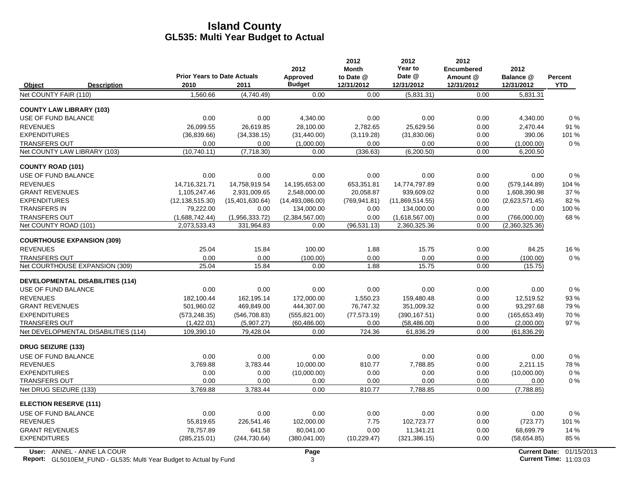|                                               |                                    |                              | 2012                   | 2012<br><b>Month</b> | 2012<br>Year to                | 2012<br><b>Encumbered</b> | 2012                           |            |
|-----------------------------------------------|------------------------------------|------------------------------|------------------------|----------------------|--------------------------------|---------------------------|--------------------------------|------------|
|                                               | <b>Prior Years to Date Actuals</b> |                              | Approved               | to Date @            | Date @                         | Amount @                  | Balance @                      | Percent    |
| Object<br><b>Description</b>                  | 2010                               | 2011                         | <b>Budget</b>          | 12/31/2012           | 12/31/2012                     | 12/31/2012                | 12/31/2012                     | <b>YTD</b> |
| Net COUNTY FAIR (110)                         | 1.560.66                           | (4,740.49)                   | 0.00                   | 0.00                 | (5,831.31)                     | 0.00                      | 5.831.31                       |            |
| <b>COUNTY LAW LIBRARY (103)</b>               |                                    |                              |                        |                      |                                |                           |                                |            |
| USE OF FUND BALANCE                           | 0.00                               | 0.00                         | 4,340.00               | 0.00                 | 0.00                           | 0.00                      | 4,340.00                       | $0\%$      |
| <b>REVENUES</b>                               | 26.099.55                          | 26.619.85                    | 28.100.00              | 2,782.65             | 25.629.56                      | 0.00                      | 2,470.44                       | 91 %       |
| <b>EXPENDITURES</b>                           | (36, 839.66)                       | (34, 338.15)                 | (31, 440.00)           | (3, 119.28)          | (31,830.06)                    | 0.00                      | 390.06                         | 101%       |
| <b>TRANSFERS OUT</b>                          | 0.00                               | 0.00                         | (1,000.00)             | 0.00                 | 0.00                           | 0.00                      | (1,000.00)                     | $0\%$      |
| Net COUNTY LAW LIBRARY (103)                  | (10, 740.11)                       | (7,718.30)                   | 0.00                   | (336.63)             | (6, 200.50)                    | 0.00                      | 6,200.50                       |            |
| <b>COUNTY ROAD (101)</b>                      |                                    |                              |                        |                      |                                |                           |                                |            |
| <b>USE OF FUND BALANCE</b>                    | 0.00                               | 0.00                         | 0.00                   | 0.00                 | 0.00                           | 0.00                      | 0.00                           | 0%         |
| <b>REVENUES</b>                               | 14.716.321.71                      | 14,758,919.54                | 14,195,653.00          | 653,351.81           | 14,774,797.89                  | 0.00                      | (579, 144.89)                  | 104 %      |
| <b>GRANT REVENUES</b>                         | 1,105,247.46                       | 2,931,009.65                 | 2,548,000.00           | 20,058.87            | 939,609.02                     | 0.00                      | 1,608,390.98                   | 37 %       |
| <b>EXPENDITURES</b>                           | (12, 138, 515.30)                  | (15,401,630.64)              | (14, 493, 086.00)      | (769, 941.81)        | (11,869,514.55)                | 0.00                      | (2,623,571.45)                 | 82%        |
| <b>TRANSFERS IN</b>                           | 79,222.00                          | 0.00                         | 134,000.00             | 0.00                 | 134,000.00                     | 0.00                      | 0.00                           | 100 %      |
| <b>TRANSFERS OUT</b><br>Net COUNTY ROAD (101) | (1,688,742.44)<br>2,073,533.43     | (1,956,333.72)<br>331,964.83 | (2,384,567.00)<br>0.00 | 0.00<br>(96, 531.13) | (1,618,567.00)<br>2,360,325.36 | 0.00<br>0.00              | (766,000.00)<br>(2,360,325.36) | 68%        |
|                                               |                                    |                              |                        |                      |                                |                           |                                |            |
| <b>COURTHOUSE EXPANSION (309)</b>             |                                    |                              |                        |                      |                                |                           |                                |            |
| <b>REVENUES</b>                               | 25.04                              | 15.84                        | 100.00                 | 1.88                 | 15.75                          | 0.00                      | 84.25                          | 16 %       |
| <b>TRANSFERS OUT</b>                          | 0.00                               | 0.00                         | (100.00)               | 0.00                 | 0.00                           | 0.00                      | (100.00)                       | $0\%$      |
| Net COURTHOUSE EXPANSION (309)                | 25.04                              | 15.84                        | 0.00                   | 1.88                 | 15.75                          | 0.00                      | (15.75)                        |            |
| <b>DEVELOPMENTAL DISABILITIES (114)</b>       |                                    |                              |                        |                      |                                |                           |                                |            |
| USE OF FUND BALANCE                           | 0.00                               | 0.00                         | 0.00                   | 0.00                 | 0.00                           | 0.00                      | 0.00                           | $0\%$      |
| <b>REVENUES</b>                               | 182.100.44                         | 162,195.14                   | 172.000.00             | 1.550.23             | 159.480.48                     | 0.00                      | 12,519.52                      | 93%        |
| <b>GRANT REVENUES</b>                         | 501,960.02                         | 469,849.00                   | 444,307.00             | 76,747.32            | 351,009.32                     | 0.00                      | 93,297.68                      | 79%        |
| <b>EXPENDITURES</b>                           | (573, 248.35)                      | (546, 708.83)                | (555, 821.00)          | (77, 573.19)         | (390, 167.51)                  | 0.00                      | (165, 653.49)                  | 70 %       |
| <b>TRANSFERS OUT</b>                          | (1,422.01)                         | (5,907.27)                   | (60, 486.00)           | 0.00                 | (58, 486.00)                   | 0.00                      | (2,000.00)                     | 97%        |
| Net DEVELOPMENTAL DISABILITIES (114)          | 109,390.10                         | 79,428.04                    | 0.00                   | 724.36               | 61.836.29                      | 0.00                      | (61, 836.29)                   |            |
| <b>DRUG SEIZURE (133)</b>                     |                                    |                              |                        |                      |                                |                           |                                |            |
| USE OF FUND BALANCE                           | 0.00                               | 0.00                         | 0.00                   | 0.00                 | 0.00                           | 0.00                      | 0.00                           | $0\%$      |
| <b>REVENUES</b>                               | 3.769.88                           | 3,783.44                     | 10,000.00              | 810.77               | 7,788.85                       | 0.00                      | 2,211.15                       | 78%        |
| <b>EXPENDITURES</b>                           | 0.00                               | 0.00                         | (10,000.00)            | 0.00                 | 0.00                           | 0.00                      | (10,000.00)                    | 0%         |
| <b>TRANSFERS OUT</b>                          | 0.00                               | 0.00                         | 0.00                   | 0.00                 | 0.00                           | 0.00                      | 0.00                           | $0\%$      |
| Net DRUG SEIZURE (133)                        | 3,769.88                           | 3,783.44                     | 0.00                   | 810.77               | 7,788.85                       | 0.00                      | (7,788.85)                     |            |
| <b>ELECTION RESERVE (111)</b>                 |                                    |                              |                        |                      |                                |                           |                                |            |
| USE OF FUND BALANCE                           | 0.00                               | 0.00                         | 0.00                   | 0.00                 | 0.00                           | 0.00                      | 0.00                           | $0\%$      |
| <b>REVENUES</b>                               | 55,819.65                          | 226,541.46                   | 102,000.00             | 7.75                 | 102,723.77                     | 0.00                      | (723.77)                       | 101 %      |
| <b>GRANT REVENUES</b>                         | 78.757.89                          | 641.58                       | 80.041.00              | 0.00                 | 11,341.21                      | 0.00                      | 68.699.79                      | 14 %       |
| <b>EXPENDITURES</b>                           | (285, 215.01)                      | (244, 730.64)                | (380, 041.00)          | (10, 229.47)         | (321, 386.15)                  | 0.00                      | (58,654.85)                    | 85 %       |
|                                               |                                    |                              |                        |                      |                                |                           |                                |            |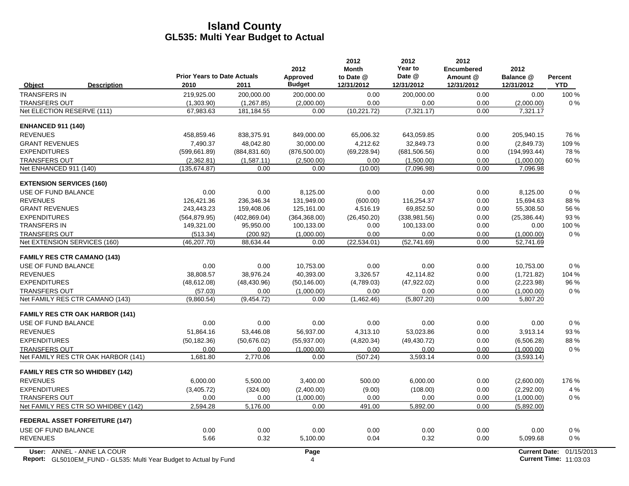|                                                                    | <b>Prior Years to Date Actuals</b> |               | 2012<br>Approved | 2012<br><b>Month</b><br>to Date @ | 2012<br>Year to<br>Date @ | 2012<br><b>Encumbered</b><br>Amount @ | 2012<br>Balance @ | <b>Percent</b>           |
|--------------------------------------------------------------------|------------------------------------|---------------|------------------|-----------------------------------|---------------------------|---------------------------------------|-------------------|--------------------------|
| Object<br><b>Description</b>                                       | 2010                               | 2011          | <b>Budget</b>    | 12/31/2012                        | 12/31/2012                | 12/31/2012                            | 12/31/2012        | <b>YTD</b>               |
| <b>TRANSFERS IN</b>                                                | 219,925.00                         | 200,000.00    | 200,000.00       | 0.00                              | 200,000.00                | 0.00                                  | 0.00              | 100 %                    |
| <b>TRANSFERS OUT</b>                                               | (1,303.90)                         | (1, 267.85)   | (2,000.00)       | 0.00                              | 0.00                      | 0.00                                  | (2,000.00)        | $0\%$                    |
| Net ELECTION RESERVE (111)                                         | 67,983.63                          | 181, 184.55   | 0.00             | (10, 221.72)                      | (7, 321.17)               | 0.00                                  | 7,321.17          |                          |
| <b>ENHANCED 911 (140)</b>                                          |                                    |               |                  |                                   |                           |                                       |                   |                          |
| <b>REVENUES</b>                                                    | 458,859.46                         | 838,375.91    | 849,000.00       | 65,006.32                         | 643,059.85                | 0.00                                  | 205,940.15        | 76 %                     |
| <b>GRANT REVENUES</b>                                              | 7,490.37                           | 48,042.80     | 30,000.00        | 4,212.62                          | 32,849.73                 | 0.00                                  | (2,849.73)        | 109 %                    |
| <b>EXPENDITURES</b>                                                | (599,661.89)                       | (884, 831.60) | (876, 500.00)    | (69, 228.94)                      | (681, 506.56)             | 0.00                                  | (194, 993.44)     | 78%                      |
| <b>TRANSFERS OUT</b>                                               | (2,362.81)                         | (1,587.11)    | (2,500.00)       | 0.00                              | (1,500.00)                | 0.00                                  | (1,000.00)        | 60%                      |
| Net ENHANCED 911 (140)                                             | (135, 674.87)                      | 0.00          | 0.00             | (10.00)                           | (7,096.98)                | 0.00                                  | 7,096.98          |                          |
| <b>EXTENSION SERVICES (160)</b>                                    |                                    |               |                  |                                   |                           |                                       |                   |                          |
| USE OF FUND BALANCE                                                | 0.00                               | 0.00          | 8,125.00         | 0.00                              | 0.00                      | 0.00                                  | 8,125.00          | $0\%$                    |
| <b>REVENUES</b>                                                    | 126,421.36                         | 236,346.34    | 131,949.00       | (600.00)                          | 116,254.37                | 0.00                                  | 15,694.63         | 88%                      |
| <b>GRANT REVENUES</b>                                              | 243,443.23                         | 159,408.06    | 125,161.00       | 4,516.19                          | 69,852.50                 | 0.00                                  | 55,308.50         | 56 %                     |
| <b>EXPENDITURES</b>                                                | (564, 879.95)                      | (402, 869.04) | (364, 368.00)    | (26, 450.20)                      | (338, 981.56)             | 0.00                                  | (25, 386.44)      | 93 %                     |
| <b>TRANSFERS IN</b>                                                | 149,321.00                         | 95,950.00     | 100,133.00       | 0.00                              | 100,133.00                | 0.00                                  | 0.00              | 100 %                    |
| <b>TRANSFERS OUT</b>                                               | (513.34)                           | (200.92)      | (1,000.00)       | 0.00                              | 0.00                      | 0.00                                  | (1,000.00)        | 0%                       |
| Net EXTENSION SERVICES (160)                                       | (46, 207.70)                       | 88.634.44     | 0.00             | (22, 534.01)                      | (52, 741.69)              | 0.00                                  | 52,741.69         |                          |
| <b>FAMILY RES CTR CAMANO (143)</b>                                 |                                    |               |                  |                                   |                           |                                       |                   |                          |
| USE OF FUND BALANCE                                                | 0.00                               | 0.00          | 10,753.00        | 0.00                              | 0.00                      | 0.00                                  | 10,753.00         | 0%                       |
| <b>REVENUES</b>                                                    | 38.808.57                          | 38.976.24     | 40.393.00        | 3.326.57                          | 42.114.82                 | 0.00                                  | (1,721.82)        | 104 %                    |
| <b>EXPENDITURES</b>                                                | (48, 612.08)                       | (48, 430.96)  | (50, 146.00)     | (4,789.03)                        | (47, 922.02)              | 0.00                                  | (2,223.98)        | 96 %                     |
| <b>TRANSFERS OUT</b>                                               | (57.03)                            | 0.00          | (1,000.00)       | 0.00                              | 0.00                      | 0.00                                  | (1,000.00)        | $0\%$                    |
| Net FAMILY RES CTR CAMANO (143)                                    | (9,860.54)                         | (9,454.72)    | 0.00             | (1,462.46)                        | (5,807.20)                | 0.00                                  | 5,807.20          |                          |
| <b>FAMILY RES CTR OAK HARBOR (141)</b>                             |                                    |               |                  |                                   |                           |                                       |                   |                          |
| USE OF FUND BALANCE                                                | 0.00                               | 0.00          | 0.00             | 0.00                              | 0.00                      | 0.00                                  | 0.00              | 0%                       |
| <b>REVENUES</b>                                                    | 51,864.16                          | 53,446.08     | 56,937.00        | 4,313.10                          | 53,023.86                 | 0.00                                  | 3,913.14          | 93%                      |
| <b>EXPENDITURES</b>                                                | (50, 182.36)                       | (50.676.02)   | (55, 937.00)     | (4,820.34)                        | (49, 430.72)              | 0.00                                  | (6,506.28)        | 88%                      |
| <b>TRANSFERS OUT</b>                                               | 0.00                               | 0.00          | (1,000.00)       | 0.00                              | 0.00                      | 0.00                                  | (1,000.00)        | 0%                       |
| Net FAMILY RES CTR OAK HARBOR (141)                                | 1,681.80                           | 2,770.06      | 0.00             | (507.24)                          | 3,593.14                  | 0.00                                  | (3,593.14)        |                          |
| <b>FAMILY RES CTR SO WHIDBEY (142)</b>                             |                                    |               |                  |                                   |                           |                                       |                   |                          |
| <b>REVENUES</b>                                                    | 6,000.00                           | 5,500.00      | 3,400.00         | 500.00                            | 6,000.00                  | 0.00                                  | (2,600.00)        | 176 %                    |
| <b>EXPENDITURES</b>                                                | (3,405.72)                         | (324.00)      | (2,400.00)       | (9.00)                            | (108.00)                  | 0.00                                  | (2,292.00)        | 4 %                      |
| <b>TRANSFERS OUT</b>                                               | 0.00                               | 0.00          | (1,000.00)       | 0.00                              | 0.00                      | 0.00                                  | (1,000.00)        | $0\%$                    |
| Net FAMILY RES CTR SO WHIDBEY (142)                                | 2,594.28                           | 5,176.00      | 0.00             | 491.00                            | 5,892.00                  | 0.00                                  | (5,892.00)        |                          |
| <b>FEDERAL ASSET FORFEITURE (147)</b>                              |                                    |               |                  |                                   |                           |                                       |                   |                          |
| USE OF FUND BALANCE                                                | 0.00                               | 0.00          | 0.00             | 0.00                              | 0.00                      | 0.00                                  | 0.00              | $0\%$                    |
| <b>REVENUES</b>                                                    | 5.66                               | 0.32          | 5,100.00         | 0.04                              | 0.32                      | 0.00                                  | 5,099.68          | $0\%$                    |
| User: ANNEL - ANNE LA COUR                                         |                                    |               | Page             |                                   |                           |                                       |                   | Current Date: 01/15/2013 |
| Report: GL5010EM_FUND - GL535: Multi Year Budget to Actual by Fund |                                    |               | $\overline{4}$   |                                   |                           |                                       |                   | Current Time: 11:03:03   |

**Report:** GL5010EM\_FUND - GL535: Multi Year Budget to Actual by Fund 11:03:03 A Current Time: 11:03:03:03 A Current Time: 11:03:03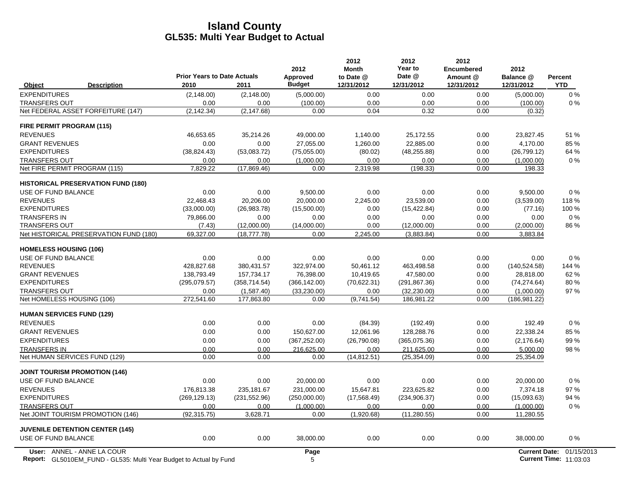|                                           | <b>Prior Years to Date Actuals</b> |               | 2012<br>Approved | 2012<br><b>Month</b><br>to Date @ | 2012<br>Year to<br>Date @ | 2012<br><b>Encumbered</b><br>Amount @ | 2012<br>Balance @    | Percent    |
|-------------------------------------------|------------------------------------|---------------|------------------|-----------------------------------|---------------------------|---------------------------------------|----------------------|------------|
| Object<br><b>Description</b>              | 2010                               | 2011          | <b>Budget</b>    | 12/31/2012                        | 12/31/2012                | 12/31/2012                            | 12/31/2012           | <b>YTD</b> |
| <b>EXPENDITURES</b>                       | (2, 148.00)                        | (2, 148.00)   | (5,000.00)       | 0.00                              | 0.00                      | 0.00                                  | (5,000.00)           | 0%         |
| <b>TRANSFERS OUT</b>                      | 0.00                               | 0.00          | (100.00)         | 0.00                              | 0.00                      | 0.00                                  | (100.00)             | 0%         |
| Net FEDERAL ASSET FORFEITURE (147)        | (2, 142.34)                        | (2, 147.68)   | 0.00             | 0.04                              | 0.32                      | 0.00                                  | (0.32)               |            |
| FIRE PERMIT PROGRAM (115)                 |                                    |               |                  |                                   |                           |                                       |                      |            |
| <b>REVENUES</b>                           | 46,653.65                          | 35,214.26     | 49,000.00        | 1,140.00                          | 25,172.55                 | 0.00                                  | 23,827.45            | 51 %       |
| <b>GRANT REVENUES</b>                     | 0.00                               | 0.00          | 27.055.00        | 1.260.00                          | 22.885.00                 | 0.00                                  | 4.170.00             | 85%        |
| <b>EXPENDITURES</b>                       | (38, 824.43)                       | (53,083.72)   | (75,055.00)      | (80.02)                           | (48, 255.88)              | 0.00                                  | (26, 799.12)         | 64 %       |
| <b>TRANSFERS OUT</b>                      | 0.00                               | 0.00          | (1,000.00)       | 0.00                              | 0.00                      | 0.00                                  | (1,000.00)           | $0\%$      |
| Net FIRE PERMIT PROGRAM (115)             | 7,829.22                           | (17,869.46)   | 0.00             | 2,319.98                          | (198.33)                  | 0.00                                  | 198.33               |            |
| <b>HISTORICAL PRESERVATION FUND (180)</b> |                                    |               |                  |                                   |                           |                                       |                      |            |
| USE OF FUND BALANCE                       | 0.00                               | 0.00          | 9,500.00         | 0.00                              | 0.00                      | 0.00                                  | 9,500.00             | 0%         |
| <b>REVENUES</b>                           | 22,468.43                          | 20,206.00     | 20,000.00        | 2,245.00                          | 23,539.00                 | 0.00                                  | (3,539.00)           | 118%       |
| <b>EXPENDITURES</b>                       | (33,000.00)                        | (26,983.78)   | (15,500.00)      | 0.00                              | (15, 422.84)              | 0.00                                  | (77.16)              | 100 %      |
| <b>TRANSFERS IN</b>                       | 79.866.00                          | 0.00          | 0.00             | 0.00                              | 0.00                      | 0.00                                  | 0.00                 | 0%         |
| <b>TRANSFERS OUT</b>                      | (7.43)                             | (12,000.00)   | (14,000.00)      | 0.00                              | (12,000.00)               | 0.00                                  | (2,000.00)           | 86 %       |
| Net HISTORICAL PRESERVATION FUND (180)    | 69,327.00                          | (18, 777.78)  | 0.00             | 2,245.00                          | (3,883.84)                | 0.00                                  | 3,883.84             |            |
| <b>HOMELESS HOUSING (106)</b>             |                                    |               |                  |                                   |                           |                                       |                      |            |
| USE OF FUND BALANCE                       | 0.00                               | 0.00          | 0.00             | 0.00                              | 0.00                      | 0.00                                  | 0.00                 | 0%         |
| <b>REVENUES</b>                           | 428,827.68                         | 380,431.57    | 322,974.00       | 50,461.12                         | 463,498.58                | 0.00                                  | (140, 524.58)        | 144 %      |
| <b>GRANT REVENUES</b>                     | 138,793.49                         | 157,734.17    | 76,398.00        | 10,419.65                         | 47,580.00                 | 0.00                                  | 28,818.00            | 62%        |
| <b>EXPENDITURES</b>                       | (295,079.57)                       | (358, 714.54) | (366, 142.00)    | (70,622.31)                       | (291, 867.36)             | 0.00                                  | (74, 274.64)         | 80%        |
| <b>TRANSFERS OUT</b>                      | 0.00                               | (1,587.40)    | (33, 230.00)     | 0.00                              | (32, 230.00)              | 0.00                                  | (1,000.00)           | 97%        |
| Net HOMELESS HOUSING (106)                | 272,541.60                         | 177,863.80    | 0.00             | (9,741.54)                        | 186,981.22                | 0.00                                  | (186, 981.22)        |            |
| <b>HUMAN SERVICES FUND (129)</b>          |                                    |               |                  |                                   |                           |                                       |                      |            |
| <b>REVENUES</b>                           | 0.00                               | 0.00          | 0.00             | (84.39)                           | (192.49)                  | 0.00                                  | 192.49               | 0%         |
| <b>GRANT REVENUES</b>                     | 0.00                               | 0.00          | 150,627.00       | 12.061.96                         | 128.288.76                | 0.00                                  | 22,338.24            | 85%        |
| <b>EXPENDITURES</b>                       | 0.00                               | 0.00          | (367, 252.00)    | (26,790.08)                       | (365,075.36)              | 0.00                                  | (2, 176.64)          | 99%        |
| <b>TRANSFERS IN</b>                       | 0.00                               | 0.00          | 216,625.00       | 0.00                              | 211,625.00                | 0.00                                  | 5,000.00             | 98 %       |
| Net HUMAN SERVICES FUND (129)             | 0.00                               | 0.00          | 0.00             | (14, 812.51)                      | (25, 354.09)              | 0.00                                  | 25,354.09            |            |
| <b>JOINT TOURISM PROMOTION (146)</b>      |                                    |               |                  |                                   |                           |                                       |                      |            |
| USE OF FUND BALANCE                       | 0.00                               | 0.00          | 20,000.00        | 0.00                              | 0.00                      | 0.00                                  | 20.000.00            | $0\%$      |
| <b>REVENUES</b>                           | 176.813.38                         | 235.181.67    | 231.000.00       | 15.647.81                         | 223.625.82                | 0.00                                  | 7.374.18             | 97%        |
| <b>EXPENDITURES</b>                       | (269, 129.13)                      | (231, 552.96) | (250,000.00)     | (17, 568.49)                      | (234, 906.37)             | 0.00                                  | (15,093.63)          | 94 %       |
| <b>TRANSFERS OUT</b>                      | 0.00                               | 0.00          | (1,000.00)       | 0.00                              | 0.00                      | 0.00                                  | (1,000.00)           | 0%         |
| Net JOINT TOURISM PROMOTION (146)         | (92, 315.75)                       | 3,628.71      | 0.00             | (1,920.68)                        | (11, 280.55)              | 0.00                                  | 11,280.55            |            |
| <b>JUVENILE DETENTION CENTER (145)</b>    |                                    |               |                  |                                   |                           |                                       |                      |            |
| USE OF FUND BALANCE                       | 0.00                               | 0.00          | 38,000.00        | 0.00                              | 0.00                      | 0.00                                  | 38,000.00            | 0%         |
| User: ANNEL - ANNE LA COUR                |                                    |               | Page             |                                   |                           |                                       | <b>Current Date:</b> | 01/15/2013 |

**Report:** GL5010EM\_FUND - GL535: Multi Year Budget to Actual by Fund 11:03:03 13:04 11:03:03:03 11:03:03:03 11:03:03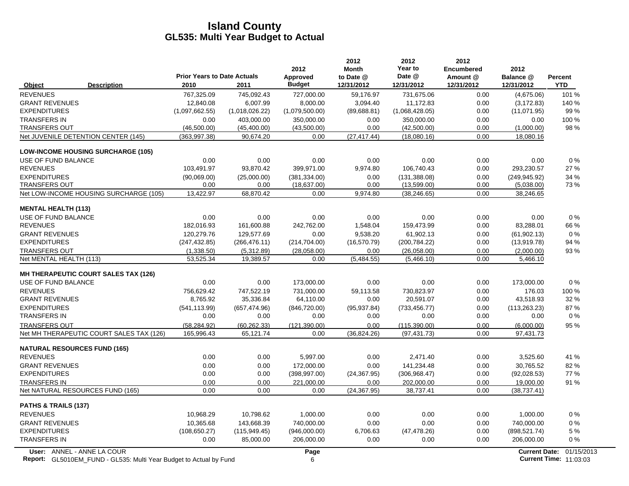|                                                                           | <b>Prior Years to Date Actuals</b> |                | 2012<br><b>Approved</b> | 2012<br><b>Month</b><br>to Date @ | 2012<br>Year to<br>Date @ | 2012<br><b>Encumbered</b><br>Amount @ | 2012<br>Balance @    | Percent                       |
|---------------------------------------------------------------------------|------------------------------------|----------------|-------------------------|-----------------------------------|---------------------------|---------------------------------------|----------------------|-------------------------------|
| Object<br><b>Description</b>                                              | 2010                               | 2011           | <b>Budget</b>           | 12/31/2012                        | 12/31/2012                | 12/31/2012                            | 12/31/2012           | <b>YTD</b>                    |
| <b>REVENUES</b>                                                           | 767,325.09                         | 745,092.43     | 727,000.00              | 59,176.97                         | 731,675.06                | 0.00                                  | (4,675.06)           | 101 %                         |
| <b>GRANT REVENUES</b>                                                     | 12,840.08                          | 6,007.99       | 8,000.00                | 3,094.40                          | 11,172.83                 | 0.00                                  | (3, 172.83)          | 140 %                         |
| <b>EXPENDITURES</b>                                                       | (1,097,662.55)                     | (1,018,026.22) | (1,079,500.00)          | (89,688.81)                       | (1,068,428.05)            | 0.00                                  | (11,071.95)          | 99 %                          |
| <b>TRANSFERS IN</b>                                                       | 0.00                               | 403.000.00     | 350.000.00              | 0.00                              | 350.000.00                | 0.00                                  | 0.00                 | 100%                          |
| <b>TRANSFERS OUT</b>                                                      | (46,500.00)                        | (45, 400.00)   | (43,500.00)             | 0.00                              | (42,500.00)               | 0.00                                  | (1,000.00)           | 98%                           |
| Net JUVENILE DETENTION CENTER (145)                                       | (363, 997.38)                      | 90,674.20      | 0.00                    | (27, 417, 44)                     | (18,080.16)               | 0.00                                  | 18,080.16            |                               |
| <b>LOW-INCOME HOUSING SURCHARGE (105)</b>                                 |                                    |                |                         |                                   |                           |                                       |                      |                               |
| USE OF FUND BALANCE                                                       | 0.00                               | 0.00           | 0.00                    | 0.00                              | 0.00                      | 0.00                                  | 0.00                 | $0\%$                         |
| <b>REVENUES</b>                                                           | 103,491.97                         | 93,870.42      | 399,971.00              | 9,974.80                          | 106,740.43                | 0.00                                  | 293,230.57           | 27 %                          |
| <b>EXPENDITURES</b>                                                       | (90,069.00)                        | (25,000.00)    | (381, 334.00)           | 0.00                              | (131, 388.08)             | 0.00                                  | (249.945.92)         | 34 %                          |
| <b>TRANSFERS OUT</b>                                                      | 0.00                               | 0.00           | (18,637.00)             | 0.00                              | (13,599.00)               | 0.00                                  | (5,038.00)           | 73%                           |
| Net LOW-INCOME HOUSING SURCHARGE (105)                                    | 13,422.97                          | 68,870.42      | 0.00                    | 9,974.80                          | (38, 246.65)              | 0.00                                  | 38,246.65            |                               |
| <b>MENTAL HEALTH (113)</b>                                                |                                    |                |                         |                                   |                           |                                       |                      |                               |
| USE OF FUND BALANCE                                                       | 0.00                               | 0.00           | 0.00                    | 0.00                              | 0.00                      | 0.00                                  | 0.00                 | 0%                            |
| <b>REVENUES</b>                                                           | 182,016.93                         | 161,600.88     | 242,762.00              | 1,548.04                          | 159,473.99                | 0.00                                  | 83,288.01            | 66 %                          |
| <b>GRANT REVENUES</b>                                                     | 120.279.76                         | 129.577.69     | 0.00                    | 9.538.20                          | 61.902.13                 | 0.00                                  | (61, 902.13)         | 0%                            |
| <b>EXPENDITURES</b>                                                       | (247, 432.85)                      | (266, 476.11)  | (214, 704.00)           | (16, 570.79)                      | (200, 784.22)             | 0.00                                  | (13,919.78)          | 94 %                          |
| <b>TRANSFERS OUT</b>                                                      | (1,338.50)                         | (5,312.89)     | (28,058.00)             | 0.00                              | (26,058.00)               | 0.00                                  | (2,000.00)           | 93 %                          |
| Net MENTAL HEALTH (113)                                                   | 53,525.34                          | 19,389.57      | 0.00                    | (5,484.55)                        | (5,466.10)                | 0.00                                  | 5,466.10             |                               |
| <b>MH THERAPEUTIC COURT SALES TAX (126)</b>                               |                                    |                |                         |                                   |                           |                                       |                      |                               |
| USE OF FUND BALANCE                                                       | 0.00                               | 0.00           | 173,000.00              | 0.00                              | 0.00                      | 0.00                                  | 173,000.00           | 0%                            |
| <b>REVENUES</b>                                                           | 756,629.42                         | 747,522.19     | 731,000.00              | 59,113.58                         | 730,823.97                | 0.00                                  | 176.03               | 100 %                         |
| <b>GRANT REVENUES</b>                                                     | 8,765.92                           | 35,336.84      | 64,110.00               | 0.00                              | 20,591.07                 | 0.00                                  | 43,518.93            | 32 %                          |
| <b>EXPENDITURES</b>                                                       | (541, 113.99)                      | (657, 474.96)  | (846, 720.00)           | (95, 937.84)                      | (733, 456.77)             | 0.00                                  | (113, 263.23)        | 87%                           |
| <b>TRANSFERS IN</b>                                                       | 0.00                               | 0.00           | 0.00                    | 0.00                              | 0.00                      | 0.00                                  | 0.00                 | $0\%$                         |
| <b>TRANSFERS OUT</b>                                                      | (58, 284.92)                       | (60, 262.33)   | (121, 390.00)           | 0.00                              | (115, 390.00)             | 0.00                                  | (6,000.00)           | 95 %                          |
| Net MH THERAPEUTIC COURT SALES TAX (126)                                  | 165,996.43                         | 65,121.74      | 0.00                    | (36, 824.26)                      | (97, 431.73)              | 0.00                                  | 97,431.73            |                               |
| <b>NATURAL RESOURCES FUND (165)</b>                                       |                                    |                |                         |                                   |                           |                                       |                      |                               |
| <b>REVENUES</b>                                                           | 0.00                               | 0.00           | 5,997.00                | 0.00                              | 2,471.40                  | 0.00                                  | 3,525.60             | 41 %                          |
| <b>GRANT REVENUES</b>                                                     | 0.00                               | 0.00           | 172,000.00              | 0.00                              | 141,234.48                | 0.00                                  | 30,765.52            | 82%                           |
| <b>EXPENDITURES</b>                                                       | 0.00                               | 0.00           | (398, 997.00)           | (24, 367.95)                      | (306, 968.47)             | 0.00                                  | (92,028.53)          | 77 %                          |
| <b>TRANSFERS IN</b>                                                       | 0.00                               | 0.00           | 221,000.00              | 0.00                              | 202,000.00                | 0.00                                  | 19,000.00            | 91 %                          |
| Net NATURAL RESOURCES FUND (165)                                          | 0.00                               | 0.00           | 0.00                    | (24, 367.95)                      | 38,737.41                 | 0.00                                  | (38, 737.41)         |                               |
| PATHS & TRAILS (137)                                                      |                                    |                |                         |                                   |                           |                                       |                      |                               |
| <b>REVENUES</b>                                                           | 10,968.29                          | 10,798.62      | 1,000.00                | 0.00                              | 0.00                      | 0.00                                  | 1,000.00             | $0\%$                         |
| <b>GRANT REVENUES</b>                                                     | 10,365.68                          | 143,668.39     | 740,000.00              | 0.00                              | 0.00                      | 0.00                                  | 740,000.00           | 0%                            |
| <b>EXPENDITURES</b>                                                       | (108, 650.27)                      | (115, 949.45)  | (946,000.00)            | 6,706.63                          | (47, 478.26)              | 0.00                                  | (898, 521.74)        | 5 %                           |
| <b>TRANSFERS IN</b>                                                       | 0.00                               | 85,000.00      | 206,000.00              | 0.00                              | 0.00                      | 0.00                                  | 206,000.00           | 0%                            |
| User: ANNEL - ANNE LA COUR                                                |                                    |                | Page                    |                                   |                           |                                       | <b>Current Date:</b> | 01/15/2013                    |
| <b>Report:</b> GL5010EM_FUND - GL535: Multi Year Budget to Actual by Fund |                                    |                | 6                       |                                   |                           |                                       |                      | <b>Current Time: 11:03:03</b> |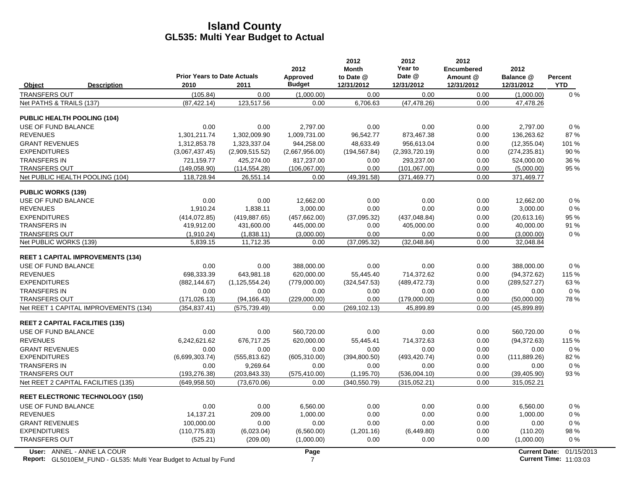|                                                                                                  | <b>Prior Years to Date Actuals</b> |                  | 2012<br><b>Approved</b> | 2012<br><b>Month</b><br>to Date @ | 2012<br>Year to<br>Date @ | 2012<br><b>Encumbered</b><br>Amount @ | 2012<br>Balance @    | <b>Percent</b>                              |
|--------------------------------------------------------------------------------------------------|------------------------------------|------------------|-------------------------|-----------------------------------|---------------------------|---------------------------------------|----------------------|---------------------------------------------|
| Object<br><b>Description</b>                                                                     | 2010                               | 2011             | <b>Budget</b>           | 12/31/2012                        | 12/31/2012                | 12/31/2012                            | 12/31/2012           | <b>YTD</b>                                  |
| <b>TRANSFERS OUT</b>                                                                             | (105.84)                           | 0.00             | (1,000.00)              | 0.00                              | 0.00                      | 0.00                                  | (1,000.00)           | $0\%$                                       |
| Net PATHS & TRAILS (137)                                                                         | (87, 422.14)                       | 123,517.56       | 0.00                    | 6,706.63                          | (47, 478.26)              | 0.00                                  | 47,478.26            |                                             |
| <b>PUBLIC HEALTH POOLING (104)</b>                                                               |                                    |                  |                         |                                   |                           |                                       |                      |                                             |
| USE OF FUND BALANCE                                                                              | 0.00                               | 0.00             | 2,797.00                | 0.00                              | 0.00                      | 0.00                                  | 2,797.00             | 0%                                          |
| <b>REVENUES</b>                                                                                  | 1,301,211.74                       | 1,302,009.90     | 1,009,731.00            | 96,542.77                         | 873,467.38                | 0.00                                  | 136,263.62           | 87%                                         |
| <b>GRANT REVENUES</b>                                                                            | 1,312,853.78                       | 1,323,337.04     | 944,258.00              | 48,633.49                         | 956,613.04                | 0.00                                  | (12, 355.04)         | 101 %                                       |
| <b>EXPENDITURES</b>                                                                              | (3,067,437.45)                     | (2,909,515.52)   | (2,667,956.00)          | (194, 567.84)                     | (2,393,720.19)            | 0.00                                  | (274, 235.81)        | 90 %                                        |
| <b>TRANSFERS IN</b>                                                                              | 721,159.77                         | 425,274.00       | 817,237.00              | 0.00                              | 293,237.00                | 0.00                                  | 524,000.00           | 36 %                                        |
| <b>TRANSFERS OUT</b>                                                                             | (149, 058.90)                      | (114, 554.28)    | (106,067.00)            | 0.00                              | (101, 067.00)             | 0.00                                  | (5,000.00)           | 95 %                                        |
| Net PUBLIC HEALTH POOLING (104)                                                                  | 118,728.94                         | 26,551.14        | 0.00                    | (49, 391.58)                      | (371, 469.77)             | 0.00                                  | 371,469.77           |                                             |
| <b>PUBLIC WORKS (139)</b>                                                                        |                                    |                  |                         |                                   |                           |                                       |                      |                                             |
| USE OF FUND BALANCE                                                                              | 0.00                               | 0.00             | 12,662.00               | 0.00                              | 0.00                      | 0.00                                  | 12,662.00            | $0\%$                                       |
| <b>REVENUES</b>                                                                                  | 1,910.24                           | 1,838.11         | 3,000.00                | 0.00                              | 0.00                      | 0.00                                  | 3,000.00             | $0\%$                                       |
| <b>EXPENDITURES</b>                                                                              | (414, 072.85)                      | (419, 887.65)    | (457, 662.00)           | (37,095.32)                       | (437, 048.84)             | 0.00                                  | (20,613.16)          | 95 %                                        |
| <b>TRANSFERS IN</b>                                                                              | 419,912.00                         | 431,600.00       | 445,000.00              | 0.00                              | 405,000.00                | 0.00                                  | 40,000.00            | 91 %                                        |
| <b>TRANSFERS OUT</b>                                                                             | (1,910.24)                         | (1,838.11)       | (3,000.00)              | 0.00                              | 0.00                      | 0.00                                  | (3,000.00)           | 0%                                          |
| Net PUBLIC WORKS (139)                                                                           | 5,839.15                           | 11,712.35        | 0.00                    | (37,095.32)                       | (32,048.84)               | 0.00                                  | 32,048.84            |                                             |
| <b>REET 1 CAPITAL IMPROVEMENTS (134)</b>                                                         |                                    |                  |                         |                                   |                           |                                       |                      |                                             |
| USE OF FUND BALANCE                                                                              | 0.00                               | 0.00             | 388,000.00              | 0.00                              | 0.00                      | 0.00                                  | 388,000.00           | 0%                                          |
| <b>REVENUES</b>                                                                                  | 698.333.39                         | 643.981.18       | 620.000.00              | 55.445.40                         | 714.372.62                | 0.00                                  | (94, 372.62)         | 115 %                                       |
| <b>EXPENDITURES</b>                                                                              | (882, 144.67)                      | (1, 125, 554.24) | (779,000.00)            | (324, 547.53)                     | (489, 472.73)             | 0.00                                  | (289, 527.27)        | 63%                                         |
| <b>TRANSFERS IN</b>                                                                              | 0.00                               | 0.00             | 0.00                    | 0.00                              | 0.00                      | 0.00                                  | 0.00                 | $0\%$                                       |
| <b>TRANSFERS OUT</b>                                                                             | (171, 026.13)                      | (94, 166.43)     | (229,000.00)            | 0.00                              | (179,000.00)              | 0.00                                  | (50,000.00)          | 78%                                         |
| Net REET 1 CAPITAL IMPROVEMENTS (134)                                                            | (354, 837.41)                      | (575, 739.49)    | 0.00                    | (269, 102.13)                     | 45,899.89                 | 0.00                                  | (45,899.89)          |                                             |
| <b>REET 2 CAPITAL FACILITIES (135)</b>                                                           |                                    |                  |                         |                                   |                           |                                       |                      |                                             |
| USE OF FUND BALANCE                                                                              | 0.00                               | 0.00             | 560,720.00              | 0.00                              | 0.00                      | 0.00                                  | 560,720.00           | 0%                                          |
| <b>REVENUES</b>                                                                                  | 6,242,621.62                       | 676,717.25       | 620,000.00              | 55,445.41                         | 714,372.63                | 0.00                                  | (94, 372.63)         | 115 %                                       |
| <b>GRANT REVENUES</b>                                                                            | 0.00                               | 0.00             | 0.00                    | 0.00                              | 0.00                      | 0.00                                  | 0.00                 | $0\%$                                       |
| <b>EXPENDITURES</b>                                                                              | (6,699,303.74)                     | (555, 813.62)    | (605, 310.00)           | (394, 800.50)                     | (493, 420.74)             | 0.00                                  | (111, 889.26)        | 82%                                         |
| <b>TRANSFERS IN</b>                                                                              | 0.00                               | 9,269.64         | 0.00                    | 0.00                              | 0.00                      | 0.00                                  | 0.00                 | $0\%$                                       |
| <b>TRANSFERS OUT</b>                                                                             | (193, 276.38)                      | (203, 843.33)    | (575, 410.00)           | (1, 195.70)                       | (536,004.10)              | 0.00                                  | (39, 405.90)         | 93 %                                        |
| Net REET 2 CAPITAL FACILITIES (135)                                                              | (649.958.50)                       | (73,670.06)      | 0.00                    | (340, 550.79)                     | (315,052.21)              | 0.00                                  | 315,052.21           |                                             |
| <b>REET ELECTRONIC TECHNOLOGY (150)</b>                                                          |                                    |                  |                         |                                   |                           |                                       |                      |                                             |
| USE OF FUND BALANCE                                                                              | 0.00                               | 0.00             | 6,560.00                | 0.00                              | 0.00                      | 0.00                                  | 6,560.00             | $0\%$                                       |
| <b>REVENUES</b>                                                                                  | 14,137.21                          | 209.00           | 1,000.00                | 0.00                              | 0.00                      | 0.00                                  | 1,000.00             | $0\%$                                       |
| <b>GRANT REVENUES</b>                                                                            | 100,000.00                         | 0.00             | 0.00                    | 0.00                              | 0.00                      | 0.00                                  | 0.00                 | 0%                                          |
| <b>EXPENDITURES</b>                                                                              | (110, 775.83)                      | (6,023.04)       | (6,560.00)              | (1,201.16)                        | (6,449.80)                | 0.00                                  | (110.20)             | 98 %                                        |
| <b>TRANSFERS OUT</b>                                                                             | (525.21)                           | (209.00)         | (1,000.00)              | 0.00                              | 0.00                      | 0.00                                  | (1,000.00)           | $0\%$                                       |
| User: ANNEL - ANNE LA COUR<br>Report: GL5010EM_FUND - GL535: Multi Year Budget to Actual by Fund |                                    |                  | Page<br>$\overline{7}$  |                                   |                           |                                       | <b>Current Date:</b> | 01/15/2013<br><b>Current Time: 11:03:03</b> |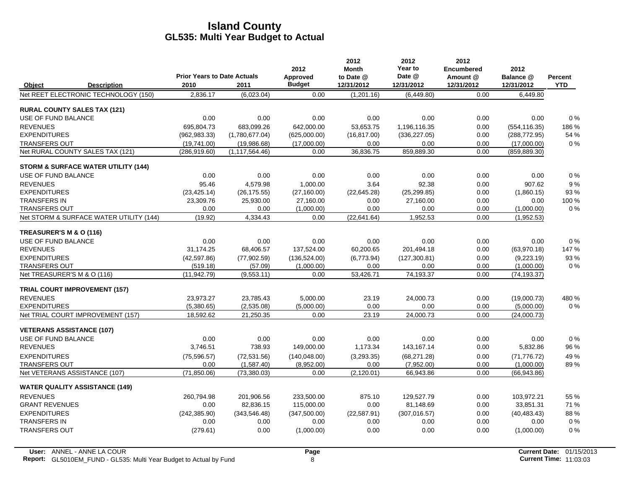|                                  |                                                | <b>Prior Years to Date Actuals</b> |                  | 2012<br>Approved | 2012<br>Month<br>to Date @ | 2012<br>Year to<br>Date @ | 2012<br><b>Encumbered</b><br>Amount @ | 2012                    | <b>Percent</b> |
|----------------------------------|------------------------------------------------|------------------------------------|------------------|------------------|----------------------------|---------------------------|---------------------------------------|-------------------------|----------------|
| Object                           | <b>Description</b>                             | 2010                               | 2011             | <b>Budget</b>    | 12/31/2012                 | 12/31/2012                | 12/31/2012                            | Balance @<br>12/31/2012 | <b>YTD</b>     |
|                                  | Net REET ELECTRONIC TECHNOLOGY (150)           | 2,836.17                           | (6,023.04)       | 0.00             | (1,201.16)                 | (6,449.80)                | 0.00                                  | 6,449.80                |                |
|                                  | <b>RURAL COUNTY SALES TAX (121)</b>            |                                    |                  |                  |                            |                           |                                       |                         |                |
| <b>USE OF FUND BALANCE</b>       |                                                | 0.00                               | 0.00             | 0.00             | 0.00                       | 0.00                      | 0.00                                  | 0.00                    | 0%             |
| <b>REVENUES</b>                  |                                                | 695.804.73                         | 683.099.26       | 642,000.00       | 53,653.75                  | 1.196.116.35              | 0.00                                  | (554, 116.35)           | 186%           |
| <b>EXPENDITURES</b>              |                                                | (962, 983.33)                      | (1,780,677.04)   | (625,000.00)     | (16, 817.00)               | (336, 227.05)             | 0.00                                  | (288, 772.95)           | 54 %           |
| <b>TRANSFERS OUT</b>             |                                                | (19,741.00)                        | (19,986.68)      | (17,000.00)      | 0.00                       | 0.00                      | 0.00                                  | (17,000.00)             | 0%             |
|                                  | Net RURAL COUNTY SALES TAX (121)               | (286, 919.60)                      | (1, 117, 564.46) | 0.00             | 36,836.75                  | 859,889.30                | 0.00                                  | (859, 889.30)           |                |
|                                  | <b>STORM &amp; SURFACE WATER UTILITY (144)</b> |                                    |                  |                  |                            |                           |                                       |                         |                |
| USE OF FUND BALANCE              |                                                | 0.00                               | 0.00             | 0.00             | 0.00                       | 0.00                      | 0.00                                  | 0.00                    | 0%             |
| <b>REVENUES</b>                  |                                                | 95.46                              | 4,579.98         | 1.000.00         | 3.64                       | 92.38                     | 0.00                                  | 907.62                  | 9%             |
| <b>EXPENDITURES</b>              |                                                | (23, 425.14)                       | (26, 175.55)     | (27, 160.00)     | (22, 645.28)               | (25, 299.85)              | 0.00                                  | (1,860.15)              | 93 %           |
| <b>TRANSFERS IN</b>              |                                                | 23,309.76                          | 25,930.00        | 27,160.00        | 0.00                       | 27,160.00                 | 0.00                                  | 0.00                    | 100 %          |
| TRANSFERS OUT                    |                                                | 0.00                               | 0.00             | (1,000.00)       | 0.00                       | 0.00                      | 0.00                                  | (1,000.00)              | 0%             |
|                                  | Net STORM & SURFACE WATER UTILITY (144)        | (19.92)                            | 4,334.43         | 0.00             | (22,641.64)                | 1,952.53                  | 0.00                                  | (1,952.53)              |                |
| TREASURER'S M & O (116)          |                                                |                                    |                  |                  |                            |                           |                                       |                         |                |
| USE OF FUND BALANCE              |                                                | 0.00                               | 0.00             | 0.00             | 0.00                       | 0.00                      | 0.00                                  | 0.00                    | 0%             |
| <b>REVENUES</b>                  |                                                | 31,174.25                          | 68,406.57        | 137,524.00       | 60,200.65                  | 201,494.18                | 0.00                                  | (63,970.18)             | 147 %          |
| <b>EXPENDITURES</b>              |                                                | (42, 597.86)                       | (77,902.59)      | (136, 524.00)    | (6,773.94)                 | (127, 300.81)             | 0.00                                  | (9,223.19)              | 93 %           |
| <b>TRANSFERS OUT</b>             |                                                | (519.18)                           | (57.09)          | (1,000.00)       | 0.00                       | 0.00                      | 0.00                                  | (1,000.00)              | 0%             |
| Net TREASURER'S M & O (116)      |                                                | (11, 942.79)                       | (9,553.11)       | 0.00             | 53,426.71                  | 74.193.37                 | 0.00                                  | (74, 193.37)            |                |
|                                  | <b>TRIAL COURT IMPROVEMENT (157)</b>           |                                    |                  |                  |                            |                           |                                       |                         |                |
| <b>REVENUES</b>                  |                                                | 23,973.27                          | 23,785.43        | 5,000.00         | 23.19                      | 24,000.73                 | 0.00                                  | (19,000.73)             | 480%           |
| <b>EXPENDITURES</b>              |                                                | (5,380.65)                         | (2,535.08)       | (5,000.00)       | 0.00                       | 0.00                      | 0.00                                  | (5,000.00)              | $0\%$          |
|                                  | Net TRIAL COURT IMPROVEMENT (157)              | 18.592.62                          | 21,250.35        | 0.00             | 23.19                      | 24.000.73                 | 0.00                                  | (24,000.73)             |                |
| <b>VETERANS ASSISTANCE (107)</b> |                                                |                                    |                  |                  |                            |                           |                                       |                         |                |
| USE OF FUND BALANCE              |                                                | 0.00                               | 0.00             | 0.00             | 0.00                       | 0.00                      | 0.00                                  | 0.00                    | 0%             |
| <b>REVENUES</b>                  |                                                | 3,746.51                           | 738.93           | 149,000.00       | 1,173.34                   | 143.167.14                | 0.00                                  | 5,832.86                | 96 %           |
| <b>EXPENDITURES</b>              |                                                | (75, 596.57)                       | (72, 531.56)     | (140, 048.00)    | (3,293.35)                 | (68, 271.28)              | 0.00                                  | (71, 776.72)            | 49 %           |
| <b>TRANSFERS OUT</b>             |                                                | 0.00                               | (1,587.40)       | (8,952.00)       | 0.00                       | (7,952.00)                | 0.00                                  | (1,000.00)              | 89%            |
|                                  | Net VETERANS ASSISTANCE (107)                  | (71, 850.06)                       | (73,380.03)      | 0.00             | (2, 120.01)                | 66,943.86                 | 0.00                                  | (66, 943.86)            |                |
|                                  | <b>WATER QUALITY ASSISTANCE (149)</b>          |                                    |                  |                  |                            |                           |                                       |                         |                |
| <b>REVENUES</b>                  |                                                | 260,794.98                         | 201,906.56       | 233,500.00       | 875.10                     | 129,527.79                | 0.00                                  | 103,972.21              | 55 %           |
| <b>GRANT REVENUES</b>            |                                                | 0.00                               | 82,836.15        | 115,000.00       | 0.00                       | 81,148.69                 | 0.00                                  | 33,851.31               | 71 %           |
| <b>EXPENDITURES</b>              |                                                | (242, 385.90)                      | (343, 546.48)    | (347,500.00)     | (22, 587.91)               | (307, 016.57)             | 0.00                                  | (40, 483, 43)           | 88%            |
| <b>TRANSFERS IN</b>              |                                                | 0.00                               | 0.00             | 0.00             | 0.00                       | 0.00                      | 0.00                                  | 0.00                    | 0%             |
| <b>TRANSFERS OUT</b>             |                                                | (279.61)                           | 0.00             | (1,000.00)       | 0.00                       | 0.00                      | 0.00                                  | (1,000.00)              | 0%             |
|                                  |                                                |                                    |                  |                  |                            |                           |                                       |                         |                |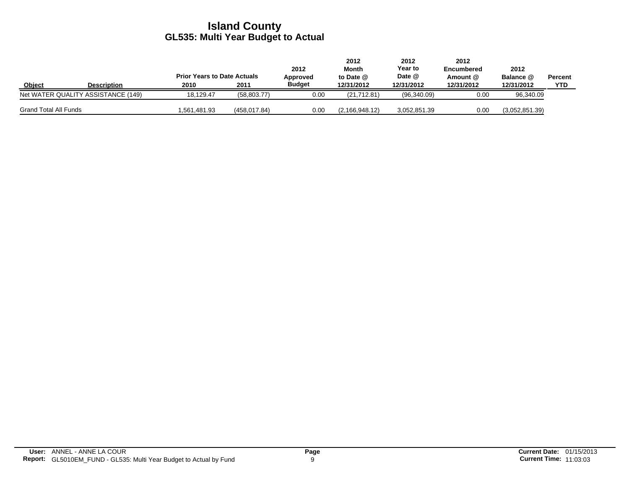|                              |                                    | <b>Prior Years to Date Actuals</b> |              | 2012<br>Approved | 2012<br>Month<br>to Date @ | 2012<br>Year to<br>Date @ | 2012<br><b>Encumbered</b><br>Amount @ | 2012<br>Balance @ | Percent |
|------------------------------|------------------------------------|------------------------------------|--------------|------------------|----------------------------|---------------------------|---------------------------------------|-------------------|---------|
| Object                       | <b>Description</b>                 | 2010                               | 2011         | <b>Budget</b>    | 12/31/2012                 | 12/31/2012                | 12/31/2012                            | 12/31/2012        | YTD     |
|                              | Net WATER QUALITY ASSISTANCE (149) | 18.129.47                          | (58, 803.77) | 0.00             | (21,712.81)                | (96,340.09)               | 0.00                                  | 96,340.09         |         |
| <b>Grand Total All Funds</b> |                                    | .561.481.93                        | (458.017.84) | 0.00             | (2.166.948.12)             | 3.052.851.39              | 0.00                                  | (3.052.851.39)    |         |